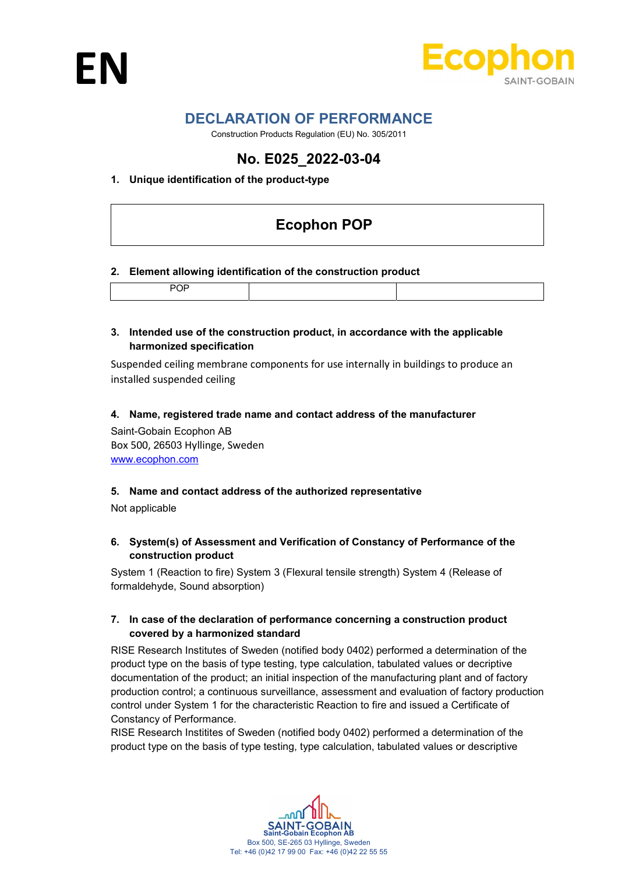



# DECLARATION OF PERFORMANCE

Construction Products Regulation (EU) No. 305/2011

# No. E025\_2022-03-04

## 1. Unique identification of the product-type

# Ecophon POP

#### 2. Element allowing identification of the construction product

#### 3. Intended use of the construction product, in accordance with the applicable harmonized specification

Suspended ceiling membrane components for use internally in buildings to produce an installed suspended ceiling

#### 4. Name, registered trade name and contact address of the manufacturer

Saint-Gobain Ecophon AB Box 500, 26503 Hyllinge, Sweden www.ecophon.com

#### 5. Name and contact address of the authorized representative

Not applicable

#### 6. System(s) of Assessment and Verification of Constancy of Performance of the construction product

System 1 (Reaction to fire) System 3 (Flexural tensile strength) System 4 (Release of formaldehyde, Sound absorption)

#### 7. In case of the declaration of performance concerning a construction product covered by a harmonized standard

RISE Research Institutes of Sweden (notified body 0402) performed a determination of the product type on the basis of type testing, type calculation, tabulated values or decriptive documentation of the product; an initial inspection of the manufacturing plant and of factory production control; a continuous surveillance, assessment and evaluation of factory production control under System 1 for the characteristic Reaction to fire and issued a Certificate of Constancy of Performance.

RISE Research Institites of Sweden (notified body 0402) performed a determination of the product type on the basis of type testing, type calculation, tabulated values or descriptive

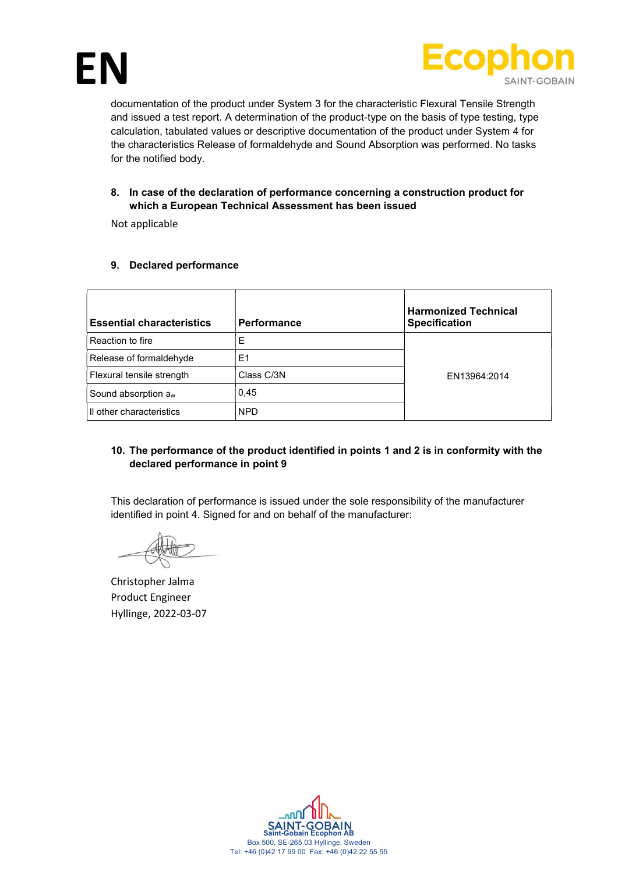



documentation of the product under System 3 for the characteristic Flexural Tensile Strength and issued a test report. A determination of the product-type on the basis of type testing, type calculation, tabulated values or descriptive documentation of the product under System 4 for the characteristics Release of formaldehyde and Sound Absorption was performed. No tasks for the notified body.

# 8. In case of the declaration of performance concerning a construction product for which a European Technical Assessment has been issued

Not applicable

## 9. Declared performance

| <b>Essential characteristics</b> | Performance | <b>Harmonized Technical</b><br><b>Specification</b> |
|----------------------------------|-------------|-----------------------------------------------------|
| Reaction to fire                 | E           |                                                     |
| Release of formaldehyde          | E1          |                                                     |
| Flexural tensile strength        | Class C/3N  | EN13964:2014                                        |
| Sound absorption a <sub>w</sub>  | 0,45        |                                                     |
| Il other characteristics         | <b>NPD</b>  |                                                     |

## 10. The performance of the product identified in points 1 and 2 is in conformity with the declared performance in point 9

This declaration of performance is issued under the sole responsibility of the manufacturer identified in point 4. Signed for and on behalf of the manufacturer:

Christopher Jalma Product Engineer Hyllinge, 2022-03-07

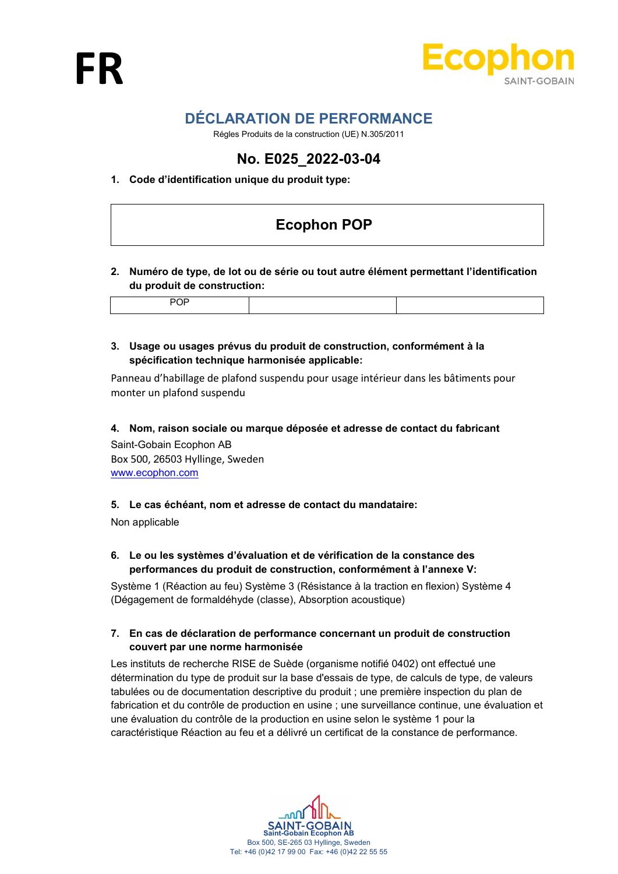

# DÉCLARATION DE PERFORMANCE

Régles Produits de la construction (UE) N.305/2011

# No. E025\_2022-03-04

# 1. Code d'identification unique du produit type:

# Ecophon POP

# 2. Numéro de type, de lot ou de série ou tout autre élément permettant l'identification du produit de construction:

# 3. Usage ou usages prévus du produit de construction, conformément à la spécification technique harmonisée applicable:

Panneau d'habillage de plafond suspendu pour usage intérieur dans les bâtiments pour monter un plafond suspendu

4. Nom, raison sociale ou marque déposée et adresse de contact du fabricant

Saint-Gobain Ecophon AB Box 500, 26503 Hyllinge, Sweden www.ecophon.com

# 5. Le cas échéant, nom et adresse de contact du mandataire:

Non applicable

# 6. Le ou les systèmes d'évaluation et de vérification de la constance des performances du produit de construction, conformément à l'annexe V:

Système 1 (Réaction au feu) Système 3 (Résistance à la traction en flexion) Système 4 (Dégagement de formaldéhyde (classe), Absorption acoustique)

## 7. En cas de déclaration de performance concernant un produit de construction couvert par une norme harmonisée

Les instituts de recherche RISE de Suède (organisme notifié 0402) ont effectué une détermination du type de produit sur la base d'essais de type, de calculs de type, de valeurs tabulées ou de documentation descriptive du produit ; une première inspection du plan de fabrication et du contrôle de production en usine ; une surveillance continue, une évaluation et une évaluation du contrôle de la production en usine selon le système 1 pour la caractéristique Réaction au feu et a délivré un certificat de la constance de performance.

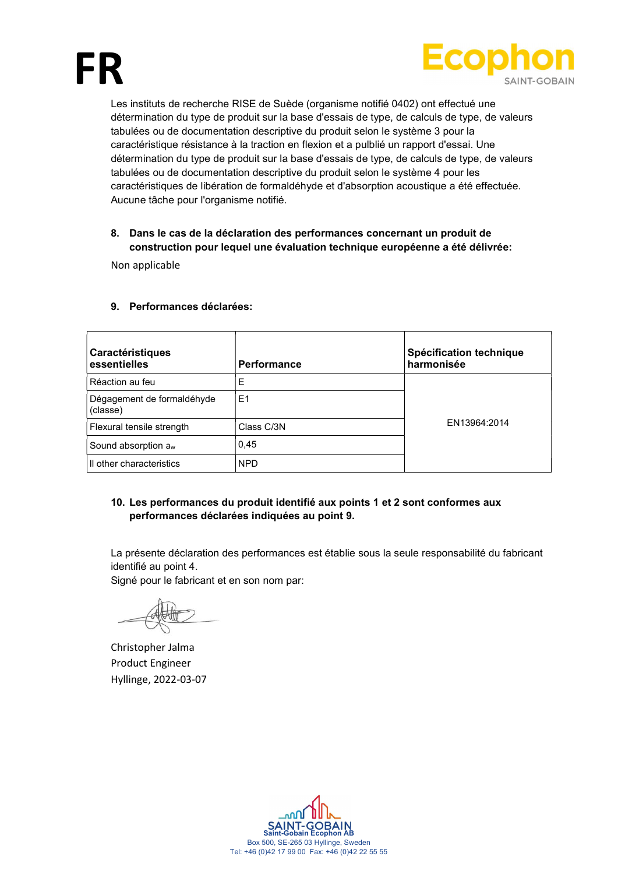



Les instituts de recherche RISE de Suède (organisme notifié 0402) ont effectué une détermination du type de produit sur la base d'essais de type, de calculs de type, de valeurs tabulées ou de documentation descriptive du produit selon le système 3 pour la caractéristique résistance à la traction en flexion et a pulblié un rapport d'essai. Une détermination du type de produit sur la base d'essais de type, de calculs de type, de valeurs tabulées ou de documentation descriptive du produit selon le système 4 pour les caractéristiques de libération de formaldéhyde et d'absorption acoustique a été effectuée. Aucune tâche pour l'organisme notifié.

# 8. Dans le cas de la déclaration des performances concernant un produit de construction pour lequel une évaluation technique européenne a été délivrée:

Non applicable

| Caractéristiques<br>essentielles       | <b>Performance</b> | Spécification technique<br>harmonisée |
|----------------------------------------|--------------------|---------------------------------------|
| Réaction au feu                        | Е                  |                                       |
| Dégagement de formaldéhyde<br>(classe) | E <sub>1</sub>     |                                       |
| Flexural tensile strength              | Class C/3N         | EN13964:2014                          |
| Sound absorption a <sub>w</sub>        | 0,45               |                                       |
| Il other characteristics               | <b>NPD</b>         |                                       |

#### 9. Performances déclarées:

# 10. Les performances du produit identifié aux points 1 et 2 sont conformes aux performances déclarées indiquées au point 9.

La présente déclaration des performances est établie sous la seule responsabilité du fabricant identifié au point 4.

Signé pour le fabricant et en son nom par:

Christopher Jalma Product Engineer Hyllinge, 2022-03-07

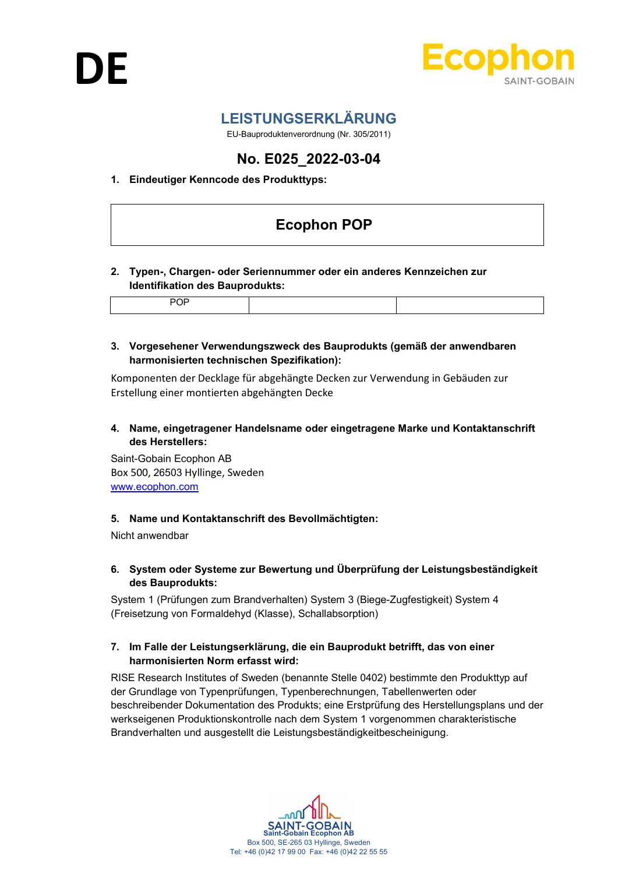

# LEISTUNGSERKLÄRUNG

EU-Bauproduktenverordnung (Nr. 305/2011)

# No. E025\_2022-03-04

# 1. Eindeutiger Kenncode des Produkttyps:

# Ecophon POP

## 2. Typen-, Chargen- oder Seriennummer oder ein anderes Kennzeichen zur Identifikation des Bauprodukts:

POP

3. Vorgesehener Verwendungszweck des Bauprodukts (gemäß der anwendbaren harmonisierten technischen Spezifikation):

Komponenten der Decklage für abgehängte Decken zur Verwendung in Gebäuden zur Erstellung einer montierten abgehängten Decke

4. Name, eingetragener Handelsname oder eingetragene Marke und Kontaktanschrift des Herstellers:

Saint-Gobain Ecophon AB Box 500, 26503 Hyllinge, Sweden www.ecophon.com

# 5. Name und Kontaktanschrift des Bevollmächtigten:

Nicht anwendbar

# 6. System oder Systeme zur Bewertung und Überprüfung der Leistungsbeständigkeit des Bauprodukts:

System 1 (Prüfungen zum Brandverhalten) System 3 (Biege-Zugfestigkeit) System 4 (Freisetzung von Formaldehyd (Klasse), Schallabsorption)

## 7. Im Falle der Leistungserklärung, die ein Bauprodukt betrifft, das von einer harmonisierten Norm erfasst wird:

RISE Research Institutes of Sweden (benannte Stelle 0402) bestimmte den Produkttyp auf der Grundlage von Typenprüfungen, Typenberechnungen, Tabellenwerten oder beschreibender Dokumentation des Produkts; eine Erstprüfung des Herstellungsplans und der werkseigenen Produktionskontrolle nach dem System 1 vorgenommen charakteristische Brandverhalten und ausgestellt die Leistungsbeständigkeitbescheinigung.

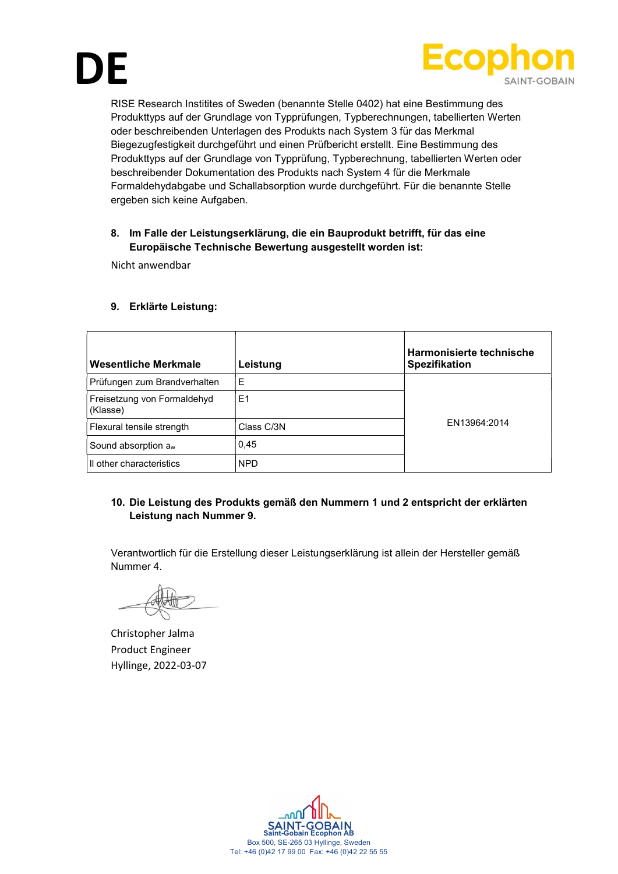



RISE Research Institites of Sweden (benannte Stelle 0402) hat eine Bestimmung des Produkttyps auf der Grundlage von Typprüfungen, Typberechnungen, tabellierten Werten oder beschreibenden Unterlagen des Produkts nach System 3 für das Merkmal Biegezugfestigkeit durchgeführt und einen Prüfbericht erstellt. Eine Bestimmung des Produkttyps auf der Grundlage von Typprüfung, Typberechnung, tabellierten Werten oder beschreibender Dokumentation des Produkts nach System 4 für die Merkmale Formaldehydabgabe und Schallabsorption wurde durchgeführt. Für die benannte Stelle ergeben sich keine Aufgaben.

# 8. Im Falle der Leistungserklärung, die ein Bauprodukt betrifft, für das eine Europäische Technische Bewertung ausgestellt worden ist:

Nicht anwendbar

## 9. Erklärte Leistung:

| Wesentliche Merkmale                    | Leistung   | Harmonisierte technische<br>Spezifikation |
|-----------------------------------------|------------|-------------------------------------------|
| Prüfungen zum Brandverhalten            | E          |                                           |
| Freisetzung von Formaldehyd<br>(Klasse) | E1         |                                           |
| Flexural tensile strength               | Class C/3N | FN13964:2014                              |
| Sound absorption a <sub>w</sub>         | 0,45       |                                           |
| Il other characteristics                | <b>NPD</b> |                                           |

# 10. Die Leistung des Produkts gemäß den Nummern 1 und 2 entspricht der erklärten Leistung nach Nummer 9.

Verantwortlich für die Erstellung dieser Leistungserklärung ist allein der Hersteller gemäß Nummer 4.

Christopher Jalma Product Engineer Hyllinge, 2022-03-07

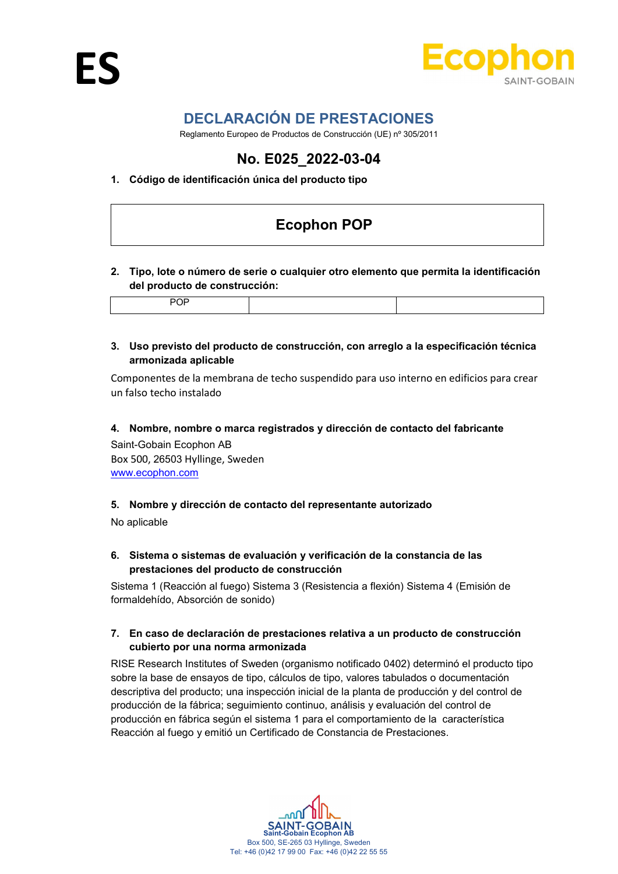

# DECLARACIÓN DE PRESTACIONES

Reglamento Europeo de Productos de Construcción (UE) nº 305/2011

# No. E025\_2022-03-04

# 1. Código de identificación única del producto tipo

# Ecophon POP

## 2. Tipo, lote o número de serie o cualquier otro elemento que permita la identificación del producto de construcción:

# 3. Uso previsto del producto de construcción, con arreglo a la especificación técnica armonizada aplicable

Componentes de la membrana de techo suspendido para uso interno en edificios para crear un falso techo instalado

#### 4. Nombre, nombre o marca registrados y dirección de contacto del fabricante

Saint-Gobain Ecophon AB Box 500, 26503 Hyllinge, Sweden www.ecophon.com

#### 5. Nombre y dirección de contacto del representante autorizado

No aplicable

## 6. Sistema o sistemas de evaluación y verificación de la constancia de las prestaciones del producto de construcción

Sistema 1 (Reacción al fuego) Sistema 3 (Resistencia a flexión) Sistema 4 (Emisión de formaldehído, Absorción de sonido)

## 7. En caso de declaración de prestaciones relativa a un producto de construcción cubierto por una norma armonizada

RISE Research Institutes of Sweden (organismo notificado 0402) determinó el producto tipo sobre la base de ensayos de tipo, cálculos de tipo, valores tabulados o documentación descriptiva del producto; una inspección inicial de la planta de producción y del control de producción de la fábrica; seguimiento continuo, análisis y evaluación del control de producción en fábrica según el sistema 1 para el comportamiento de la característica Reacción al fuego y emitió un Certificado de Constancia de Prestaciones.

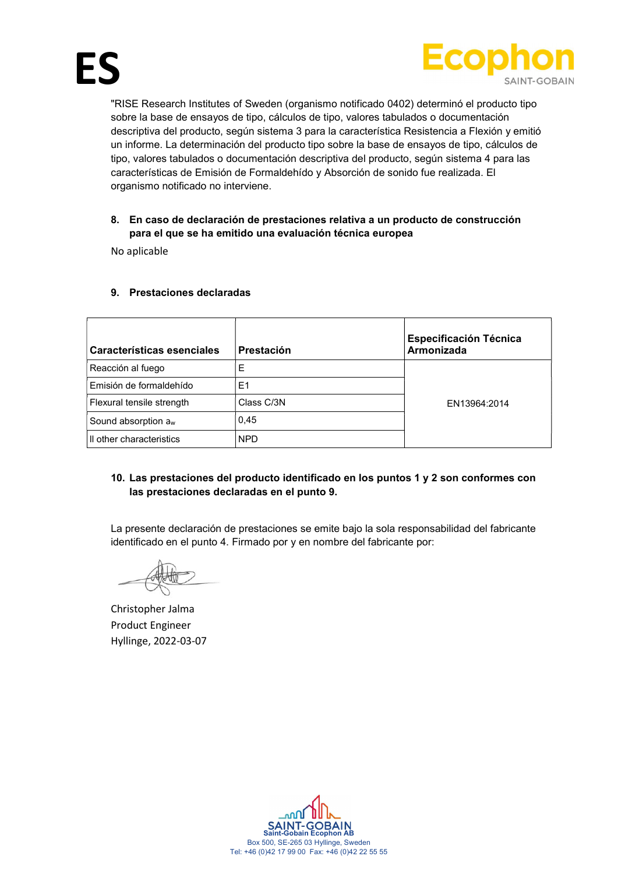

"RISE Research Institutes of Sweden (organismo notificado 0402) determinó el producto tipo sobre la base de ensayos de tipo, cálculos de tipo, valores tabulados o documentación descriptiva del producto, según sistema 3 para la característica Resistencia a Flexión y emitió un informe. La determinación del producto tipo sobre la base de ensayos de tipo, cálculos de tipo, valores tabulados o documentación descriptiva del producto, según sistema 4 para las características de Emisión de Formaldehído y Absorción de sonido fue realizada. El organismo notificado no interviene.

## 8. En caso de declaración de prestaciones relativa a un producto de construcción para el que se ha emitido una evaluación técnica europea

No aplicable

| Características esenciales      | Prestación | <b>Especificación Técnica</b><br>Armonizada |
|---------------------------------|------------|---------------------------------------------|
| Reacción al fuego               | Е          |                                             |
| Emisión de formaldehído         | E1         |                                             |
| Flexural tensile strength       | Class C/3N | EN13964:2014                                |
| Sound absorption a <sub>w</sub> | 0,45       |                                             |
| Il other characteristics        | <b>NPD</b> |                                             |

## 9. Prestaciones declaradas

## 10. Las prestaciones del producto identificado en los puntos 1 y 2 son conformes con las prestaciones declaradas en el punto 9.

La presente declaración de prestaciones se emite bajo la sola responsabilidad del fabricante identificado en el punto 4. Firmado por y en nombre del fabricante por:

Christopher Jalma Product Engineer Hyllinge, 2022-03-07

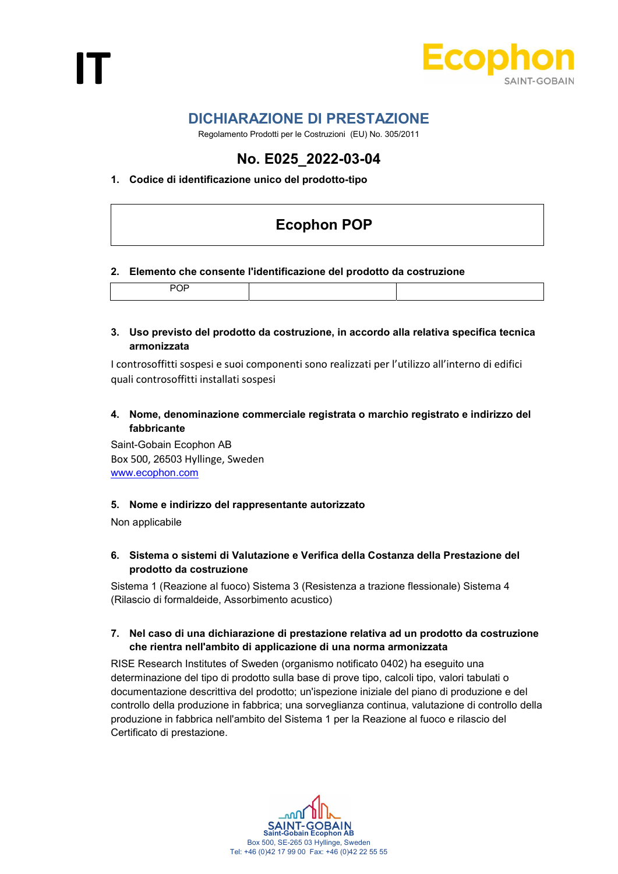

# DICHIARAZIONE DI PRESTAZIONE

Regolamento Prodotti per le Costruzioni (EU) No. 305/2011

# No. E025\_2022-03-04

# 1. Codice di identificazione unico del prodotto-tipo

# Ecophon POP

#### 2. Elemento che consente l'identificazione del prodotto da costruzione

|--|

#### 3. Uso previsto del prodotto da costruzione, in accordo alla relativa specifica tecnica armonizzata

I controsoffitti sospesi e suoi componenti sono realizzati per l'utilizzo all'interno di edifici quali controsoffitti installati sospesi

# 4. Nome, denominazione commerciale registrata o marchio registrato e indirizzo del fabbricante

Saint-Gobain Ecophon AB Box 500, 26503 Hyllinge, Sweden www.ecophon.com

#### 5. Nome e indirizzo del rappresentante autorizzato

Non applicabile

# 6. Sistema o sistemi di Valutazione e Verifica della Costanza della Prestazione del prodotto da costruzione

Sistema 1 (Reazione al fuoco) Sistema 3 (Resistenza a trazione flessionale) Sistema 4 (Rilascio di formaldeide, Assorbimento acustico)

## 7. Nel caso di una dichiarazione di prestazione relativa ad un prodotto da costruzione che rientra nell'ambito di applicazione di una norma armonizzata

RISE Research Institutes of Sweden (organismo notificato 0402) ha eseguito una determinazione del tipo di prodotto sulla base di prove tipo, calcoli tipo, valori tabulati o documentazione descrittiva del prodotto; un'ispezione iniziale del piano di produzione e del controllo della produzione in fabbrica; una sorveglianza continua, valutazione di controllo della produzione in fabbrica nell'ambito del Sistema 1 per la Reazione al fuoco e rilascio del Certificato di prestazione.

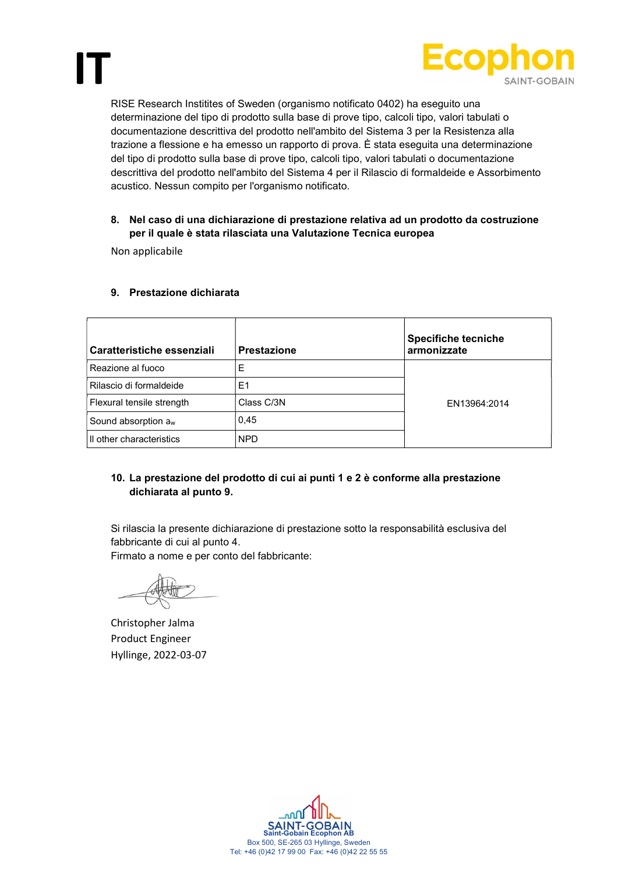

RISE Research Institites of Sweden (organismo notificato 0402) ha eseguito una determinazione del tipo di prodotto sulla base di prove tipo, calcoli tipo, valori tabulati o documentazione descrittiva del prodotto nell'ambito del Sistema 3 per la Resistenza alla trazione a flessione e ha emesso un rapporto di prova. È stata eseguita una determinazione del tipo di prodotto sulla base di prove tipo, calcoli tipo, valori tabulati o documentazione descrittiva del prodotto nell'ambito del Sistema 4 per il Rilascio di formaldeide e Assorbimento acustico. Nessun compito per l'organismo notificato.

#### 8. Nel caso di una dichiarazione di prestazione relativa ad un prodotto da costruzione per il quale è stata rilasciata una Valutazione Tecnica europea

Non applicabile

IT

| Caratteristiche essenziali      | <b>Prestazione</b> | <b>Specifiche tecniche</b><br>armonizzate |
|---------------------------------|--------------------|-------------------------------------------|
| Reazione al fuoco               | E                  |                                           |
| Rilascio di formaldeide         | E1                 |                                           |
| Flexural tensile strength       | Class C/3N         | EN13964:2014                              |
| Sound absorption a <sub>w</sub> | 0.45               |                                           |
| Il other characteristics        | <b>NPD</b>         |                                           |

## 9. Prestazione dichiarata

# 10. La prestazione del prodotto di cui ai punti 1 e 2 è conforme alla prestazione dichiarata al punto 9.

Si rilascia la presente dichiarazione di prestazione sotto la responsabilità esclusiva del fabbricante di cui al punto 4.

Firmato a nome e per conto del fabbricante:

Christopher Jalma Product Engineer Hyllinge, 2022-03-07

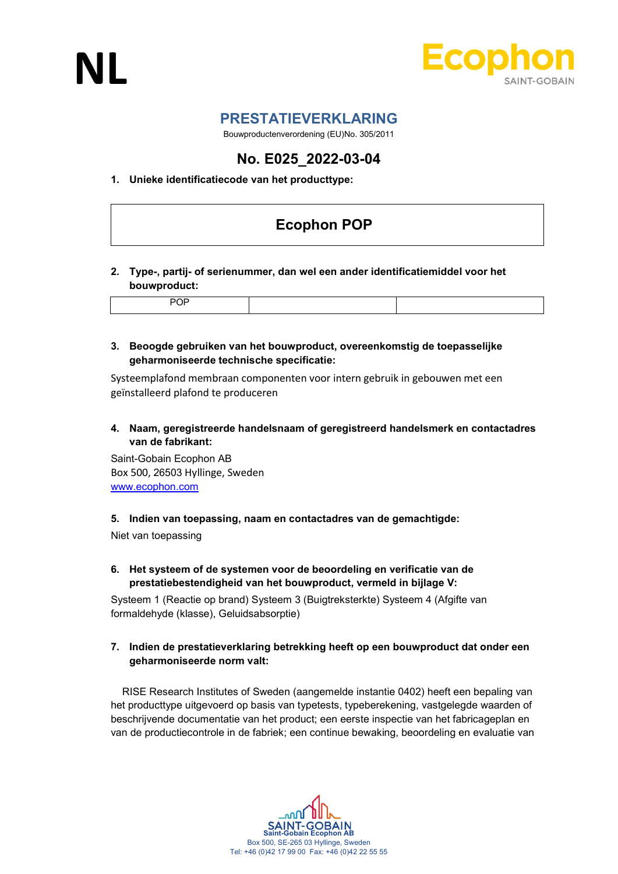



# PRESTATIEVERKLARING

Bouwproductenverordening (EU)No. 305/2011

# No. E025\_2022-03-04

# 1. Unieke identificatiecode van het producttype:

# Ecophon POP

## 2. Type-, partij- of serienummer, dan wel een ander identificatiemiddel voor het bouwproduct:

## 3. Beoogde gebruiken van het bouwproduct, overeenkomstig de toepasselijke geharmoniseerde technische specificatie:

Systeemplafond membraan componenten voor intern gebruik in gebouwen met een geïnstalleerd plafond te produceren

## 4. Naam, geregistreerde handelsnaam of geregistreerd handelsmerk en contactadres van de fabrikant:

Saint-Gobain Ecophon AB Box 500, 26503 Hyllinge, Sweden www.ecophon.com

#### 5. Indien van toepassing, naam en contactadres van de gemachtigde:

Niet van toepassing

## 6. Het systeem of de systemen voor de beoordeling en verificatie van de prestatiebestendigheid van het bouwproduct, vermeld in bijlage V:

Systeem 1 (Reactie op brand) Systeem 3 (Buigtreksterkte) Systeem 4 (Afgifte van formaldehyde (klasse), Geluidsabsorptie)

## 7. Indien de prestatieverklaring betrekking heeft op een bouwproduct dat onder een geharmoniseerde norm valt:

 RISE Research Institutes of Sweden (aangemelde instantie 0402) heeft een bepaling van het producttype uitgevoerd op basis van typetests, typeberekening, vastgelegde waarden of beschrijvende documentatie van het product; een eerste inspectie van het fabricageplan en van de productiecontrole in de fabriek; een continue bewaking, beoordeling en evaluatie van

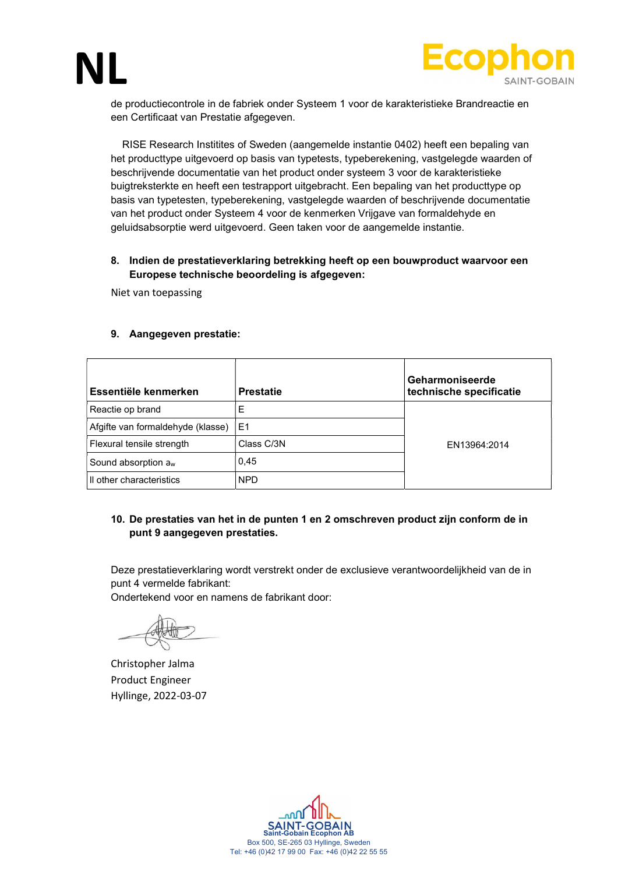



de productiecontrole in de fabriek onder Systeem 1 voor de karakteristieke Brandreactie en een Certificaat van Prestatie afgegeven.

 RISE Research Institites of Sweden (aangemelde instantie 0402) heeft een bepaling van het producttype uitgevoerd op basis van typetests, typeberekening, vastgelegde waarden of beschrijvende documentatie van het product onder systeem 3 voor de karakteristieke buigtreksterkte en heeft een testrapport uitgebracht. Een bepaling van het producttype op basis van typetesten, typeberekening, vastgelegde waarden of beschrijvende documentatie van het product onder Systeem 4 voor de kenmerken Vrijgave van formaldehyde en geluidsabsorptie werd uitgevoerd. Geen taken voor de aangemelde instantie.

#### 8. Indien de prestatieverklaring betrekking heeft op een bouwproduct waarvoor een Europese technische beoordeling is afgegeven:

Niet van toepassing

#### 9. Aangegeven prestatie:

| Essentiële kenmerken              | <b>Prestatie</b> | Geharmoniseerde<br>technische specificatie |
|-----------------------------------|------------------|--------------------------------------------|
| Reactie op brand                  | E                |                                            |
| Afgifte van formaldehyde (klasse) | E <sub>1</sub>   |                                            |
| Flexural tensile strength         | Class C/3N       | EN13964:2014                               |
| Sound absorption a <sub>w</sub>   | 0.45             |                                            |
| Il other characteristics          | <b>NPD</b>       |                                            |

## 10. De prestaties van het in de punten 1 en 2 omschreven product zijn conform de in punt 9 aangegeven prestaties.

Deze prestatieverklaring wordt verstrekt onder de exclusieve verantwoordelijkheid van de in punt 4 vermelde fabrikant: Ondertekend voor en namens de fabrikant door:

Christopher Jalma Product Engineer Hyllinge, 2022-03-07

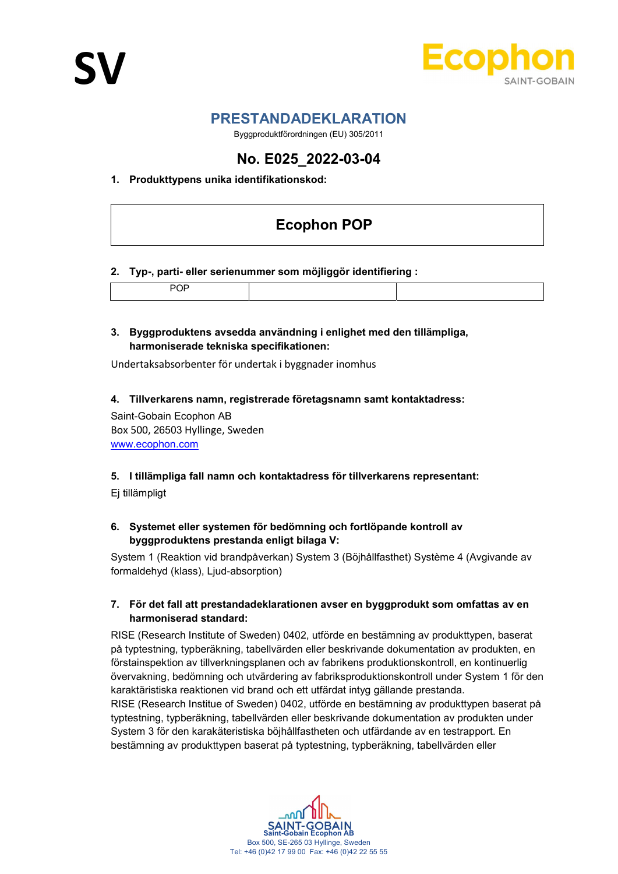

# PRESTANDADEKLARATION

Byggproduktförordningen (EU) 305/2011

# No. E025\_2022-03-04

# 1. Produkttypens unika identifikationskod:

# Ecophon POP

## 2. Typ-, parti- eller serienummer som möjliggör identifiering :

|--|

#### 3. Byggproduktens avsedda användning i enlighet med den tillämpliga, harmoniserade tekniska specifikationen:

Undertaksabsorbenter för undertak i byggnader inomhus

## 4. Tillverkarens namn, registrerade företagsnamn samt kontaktadress:

Saint-Gobain Ecophon AB Box 500, 26503 Hyllinge, Sweden www.ecophon.com

#### 5. I tillämpliga fall namn och kontaktadress för tillverkarens representant:

Ej tillämpligt

# 6. Systemet eller systemen för bedömning och fortlöpande kontroll av byggproduktens prestanda enligt bilaga V:

System 1 (Reaktion vid brandpåverkan) System 3 (Böjhållfasthet) Système 4 (Avgivande av formaldehyd (klass), Ljud-absorption)

#### 7. För det fall att prestandadeklarationen avser en byggprodukt som omfattas av en harmoniserad standard:

RISE (Research Institute of Sweden) 0402, utförde en bestämning av produkttypen, baserat på typtestning, typberäkning, tabellvärden eller beskrivande dokumentation av produkten, en förstainspektion av tillverkningsplanen och av fabrikens produktionskontroll, en kontinuerlig övervakning, bedömning och utvärdering av fabriksproduktionskontroll under System 1 för den karaktäristiska reaktionen vid brand och ett utfärdat intyg gällande prestanda. RISE (Research Institue of Sweden) 0402, utförde en bestämning av produkttypen baserat på typtestning, typberäkning, tabellvärden eller beskrivande dokumentation av produkten under System 3 för den karakäteristiska böjhållfastheten och utfärdande av en testrapport. En bestämning av produkttypen baserat på typtestning, typberäkning, tabellvärden eller

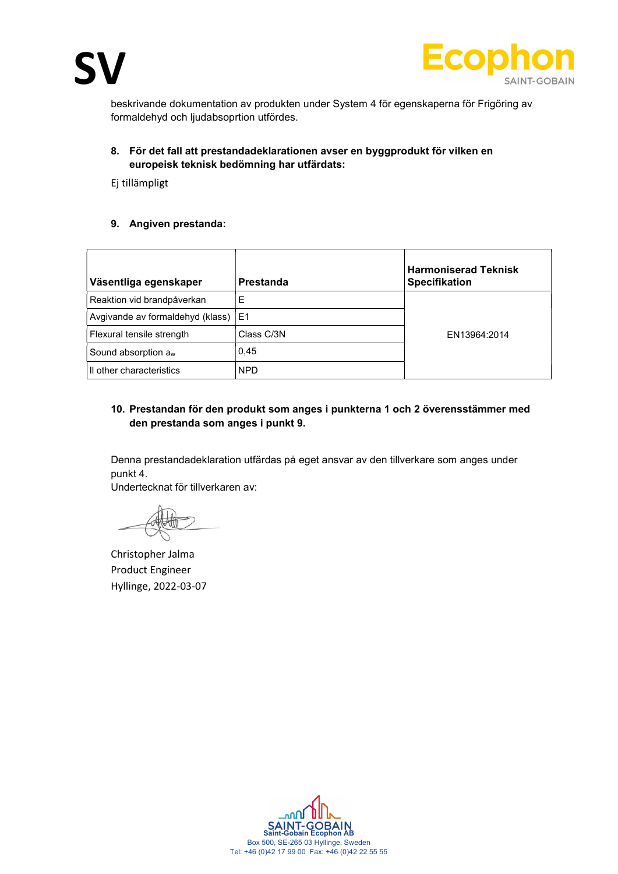

beskrivande dokumentation av produkten under System 4 för egenskaperna för Frigöring av formaldehyd och ljudabsoprtion utfördes.

## 8. För det fall att prestandadeklarationen avser en byggprodukt för vilken en europeisk teknisk bedömning har utfärdats:

Ej tillämpligt

## 9. Angiven prestanda:

| Väsentliga egenskaper                 | Prestanda  | <b>Harmoniserad Teknisk</b><br><b>Specifikation</b> |
|---------------------------------------|------------|-----------------------------------------------------|
| Reaktion vid brandpåverkan            | Ε          |                                                     |
| Avgivande av formaldehyd (klass)   E1 |            |                                                     |
| Flexural tensile strength             | Class C/3N | EN13964:2014                                        |
| Sound absorption $a_w$                | 0,45       |                                                     |
| Il other characteristics              | NPD.       |                                                     |

# 10. Prestandan för den produkt som anges i punkterna 1 och 2 överensstämmer med den prestanda som anges i punkt 9.

Denna prestandadeklaration utfärdas på eget ansvar av den tillverkare som anges under punkt 4.

Undertecknat för tillverkaren av:

Christopher Jalma Product Engineer Hyllinge, 2022-03-07

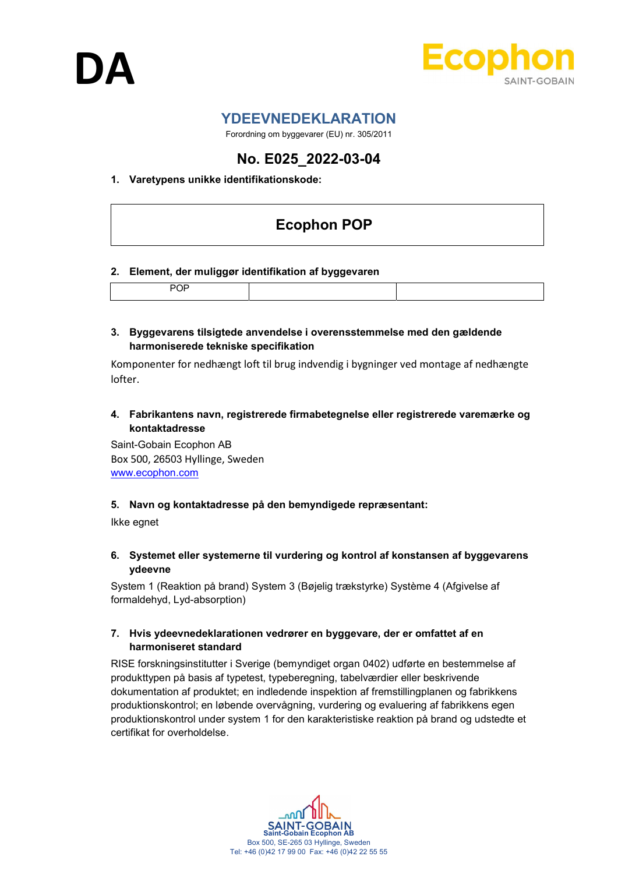



# YDEEVNEDEKLARATION

Forordning om byggevarer (EU) nr. 305/2011

# No. E025\_2022-03-04

# 1. Varetypens unikke identifikationskode:

# Ecophon POP

#### 2. Element, der muliggør identifikation af byggevaren

|--|

#### 3. Byggevarens tilsigtede anvendelse i overensstemmelse med den gældende harmoniserede tekniske specifikation

Komponenter for nedhængt loft til brug indvendig i bygninger ved montage af nedhængte lofter.

4. Fabrikantens navn, registrerede firmabetegnelse eller registrerede varemærke og kontaktadresse

Saint-Gobain Ecophon AB Box 500, 26503 Hyllinge, Sweden www.ecophon.com

#### 5. Navn og kontaktadresse på den bemyndigede repræsentant:

Ikke egnet

6. Systemet eller systemerne til vurdering og kontrol af konstansen af byggevarens ydeevne

System 1 (Reaktion på brand) System 3 (Bøjelig trækstyrke) Système 4 (Afgivelse af formaldehyd, Lyd-absorption)

## 7. Hvis ydeevnedeklarationen vedrører en byggevare, der er omfattet af en harmoniseret standard

RISE forskningsinstitutter i Sverige (bemyndiget organ 0402) udførte en bestemmelse af produkttypen på basis af typetest, typeberegning, tabelværdier eller beskrivende dokumentation af produktet; en indledende inspektion af fremstillingplanen og fabrikkens produktionskontrol; en løbende overvågning, vurdering og evaluering af fabrikkens egen produktionskontrol under system 1 for den karakteristiske reaktion på brand og udstedte et certifikat for overholdelse.

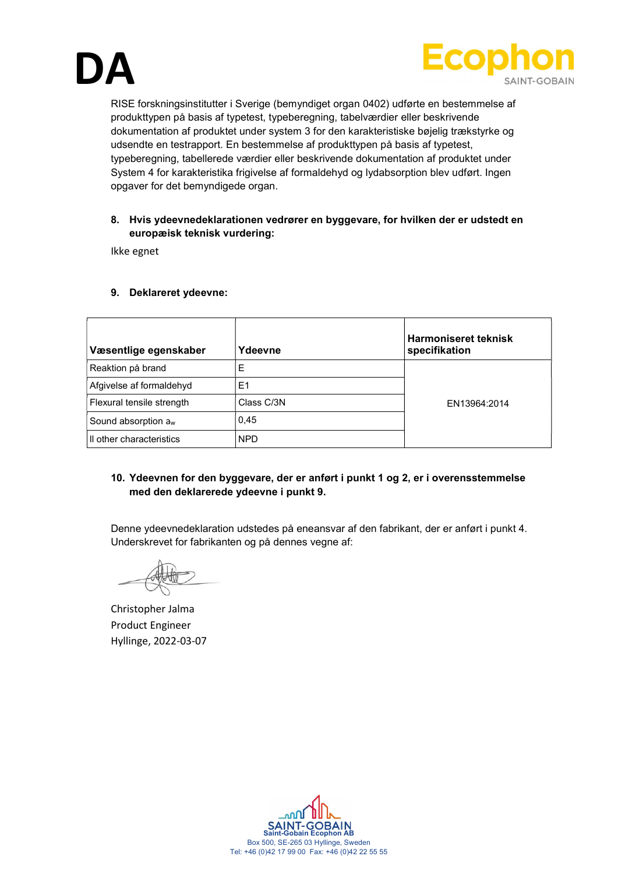



RISE forskningsinstitutter i Sverige (bemyndiget organ 0402) udførte en bestemmelse af produkttypen på basis af typetest, typeberegning, tabelværdier eller beskrivende dokumentation af produktet under system 3 for den karakteristiske bøjelig trækstyrke og udsendte en testrapport. En bestemmelse af produkttypen på basis af typetest, typeberegning, tabellerede værdier eller beskrivende dokumentation af produktet under System 4 for karakteristika frigivelse af formaldehyd og lydabsorption blev udført. Ingen opgaver for det bemyndigede organ.

#### 8. Hvis ydeevnedeklarationen vedrører en byggevare, for hvilken der er udstedt en europæisk teknisk vurdering:

Ikke egnet

| Væsentlige egenskaber           | Ydeevne    | <b>Harmoniseret teknisk</b><br>specifikation |
|---------------------------------|------------|----------------------------------------------|
| Reaktion på brand               | E          |                                              |
| Afgivelse af formaldehyd        | E1         |                                              |
| Flexural tensile strength       | Class C/3N | EN13964:2014                                 |
| Sound absorption a <sub>w</sub> | 0.45       |                                              |
| Il other characteristics        | <b>NPD</b> |                                              |

## 9. Deklareret ydeevne:

## 10. Ydeevnen for den byggevare, der er anført i punkt 1 og 2, er i overensstemmelse med den deklarerede ydeevne i punkt 9.

Denne ydeevnedeklaration udstedes på eneansvar af den fabrikant, der er anført i punkt 4. Underskrevet for fabrikanten og på dennes vegne af:

Christopher Jalma Product Engineer Hyllinge, 2022-03-07

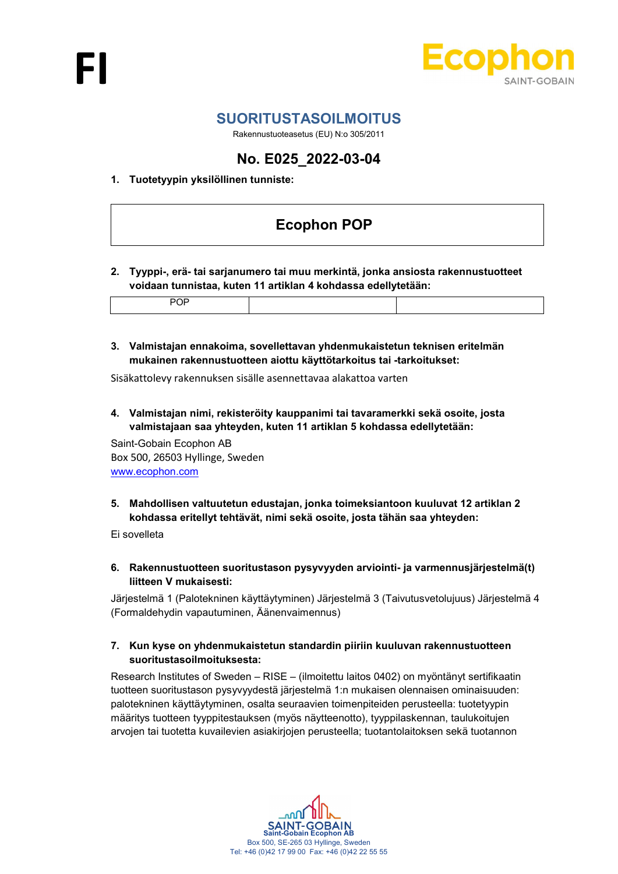

# SUORITUSTASOILMOITUS

Rakennustuoteasetus (EU) N:o 305/2011

# No. E025\_2022-03-04

# 1. Tuotetyypin yksilöllinen tunniste:

# Ecophon POP

2. Tyyppi-, erä- tai sarjanumero tai muu merkintä, jonka ansiosta rakennustuotteet voidaan tunnistaa, kuten 11 artiklan 4 kohdassa edellytetään:

3. Valmistajan ennakoima, sovellettavan yhdenmukaistetun teknisen eritelmän mukainen rakennustuotteen aiottu käyttötarkoitus tai -tarkoitukset:

Sisäkattolevy rakennuksen sisälle asennettavaa alakattoa varten

4. Valmistajan nimi, rekisteröity kauppanimi tai tavaramerkki sekä osoite, josta valmistajaan saa yhteyden, kuten 11 artiklan 5 kohdassa edellytetään:

Saint-Gobain Ecophon AB Box 500, 26503 Hyllinge, Sweden www.ecophon.com

5. Mahdollisen valtuutetun edustajan, jonka toimeksiantoon kuuluvat 12 artiklan 2 kohdassa eritellyt tehtävät, nimi sekä osoite, josta tähän saa yhteyden:

Ei sovelleta

6. Rakennustuotteen suoritustason pysyvyyden arviointi- ja varmennusjärjestelmä(t) liitteen V mukaisesti:

Järjestelmä 1 (Palotekninen käyttäytyminen) Järjestelmä 3 (Taivutusvetolujuus) Järjestelmä 4 (Formaldehydin vapautuminen, Äänenvaimennus)

#### 7. Kun kyse on yhdenmukaistetun standardin piiriin kuuluvan rakennustuotteen suoritustasoilmoituksesta:

Research Institutes of Sweden – RISE – (ilmoitettu laitos 0402) on myöntänyt sertifikaatin tuotteen suoritustason pysyvyydestä järjestelmä 1:n mukaisen olennaisen ominaisuuden: palotekninen käyttäytyminen, osalta seuraavien toimenpiteiden perusteella: tuotetyypin määritys tuotteen tyyppitestauksen (myös näytteenotto), tyyppilaskennan, taulukoitujen arvojen tai tuotetta kuvailevien asiakirjojen perusteella; tuotantolaitoksen sekä tuotannon

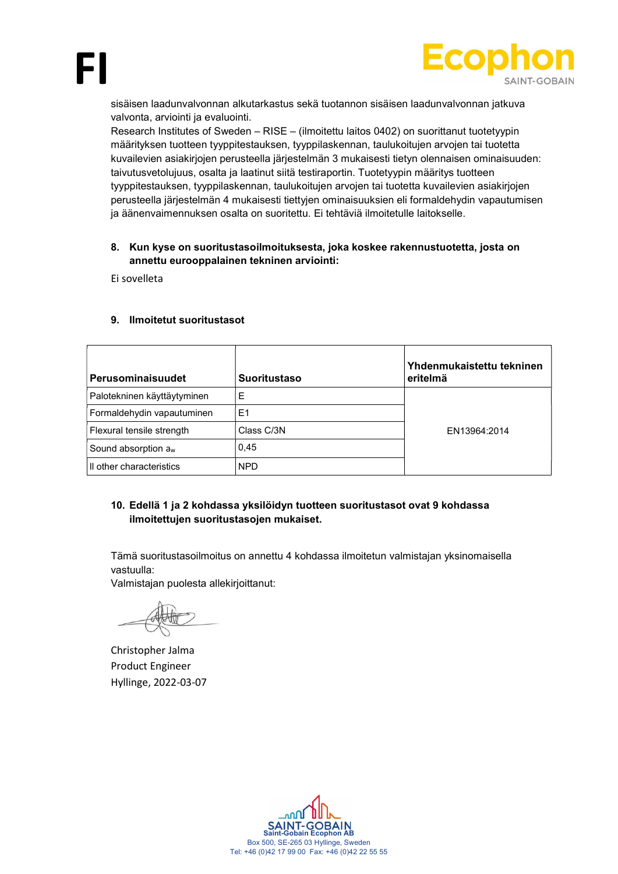



sisäisen laadunvalvonnan alkutarkastus sekä tuotannon sisäisen laadunvalvonnan jatkuva valvonta, arviointi ja evaluointi.

Research Institutes of Sweden – RISE – (ilmoitettu laitos 0402) on suorittanut tuotetyypin määrityksen tuotteen tyyppitestauksen, tyyppilaskennan, taulukoitujen arvojen tai tuotetta kuvailevien asiakirjojen perusteella järjestelmän 3 mukaisesti tietyn olennaisen ominaisuuden: taivutusvetolujuus, osalta ja laatinut siitä testiraportin. Tuotetyypin määritys tuotteen tyyppitestauksen, tyyppilaskennan, taulukoitujen arvojen tai tuotetta kuvailevien asiakirjojen perusteella järjestelmän 4 mukaisesti tiettyjen ominaisuuksien eli formaldehydin vapautumisen ja äänenvaimennuksen osalta on suoritettu. Ei tehtäviä ilmoitetulle laitokselle.

#### 8. Kun kyse on suoritustasoilmoituksesta, joka koskee rakennustuotetta, josta on annettu eurooppalainen tekninen arviointi:

Ei sovelleta

| Perusominaisuudet           | <b>Suoritustaso</b> | Yhdenmukaistettu tekninen<br>eritelmä |
|-----------------------------|---------------------|---------------------------------------|
| Palotekninen käyttäytyminen | Ε                   |                                       |
| Formaldehydin vapautuminen  | E1                  |                                       |
| Flexural tensile strength   | Class C/3N          | EN13964:2014                          |
| Sound absorption $a_w$      | 0,45                |                                       |
| Il other characteristics    | <b>NPD</b>          |                                       |

#### 9. Ilmoitetut suoritustasot

## 10. Edellä 1 ja 2 kohdassa yksilöidyn tuotteen suoritustasot ovat 9 kohdassa ilmoitettujen suoritustasojen mukaiset.

Tämä suoritustasoilmoitus on annettu 4 kohdassa ilmoitetun valmistajan yksinomaisella vastuulla:

Valmistajan puolesta allekirjoittanut:

Christopher Jalma Product Engineer Hyllinge, 2022-03-07

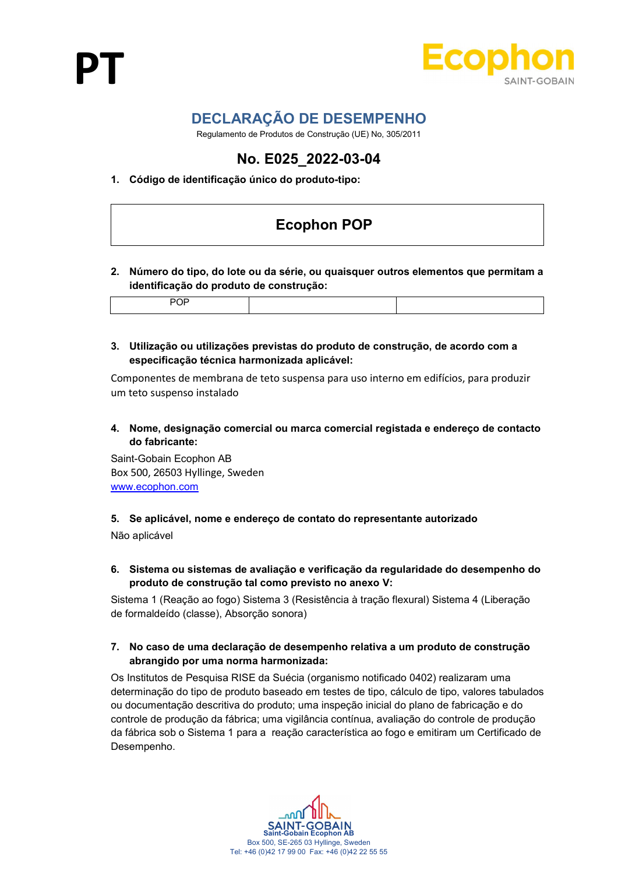

# DECLARAÇÃO DE DESEMPENHO

Regulamento de Produtos de Construção (UE) No, 305/2011

# No. E025\_2022-03-04

# 1. Código de identificação único do produto-tipo:

# Ecophon POP

2. Número do tipo, do lote ou da série, ou quaisquer outros elementos que permitam a identificação do produto de construção:

| . . |  |
|-----|--|
|     |  |

3. Utilização ou utilizações previstas do produto de construção, de acordo com a especificação técnica harmonizada aplicável:

Componentes de membrana de teto suspensa para uso interno em edifícios, para produzir um teto suspenso instalado

4. Nome, designação comercial ou marca comercial registada e endereço de contacto do fabricante:

Saint-Gobain Ecophon AB Box 500, 26503 Hyllinge, Sweden www.ecophon.com

# 5. Se aplicável, nome e endereço de contato do representante autorizado

Não aplicável

6. Sistema ou sistemas de avaliação e verificação da regularidade do desempenho do produto de construção tal como previsto no anexo V:

Sistema 1 (Reação ao fogo) Sistema 3 (Resistência à tração flexural) Sistema 4 (Liberação de formaldeído (classe), Absorção sonora)

## 7. No caso de uma declaração de desempenho relativa a um produto de construção abrangido por uma norma harmonizada:

Os Institutos de Pesquisa RISE da Suécia (organismo notificado 0402) realizaram uma determinação do tipo de produto baseado em testes de tipo, cálculo de tipo, valores tabulados ou documentação descritiva do produto; uma inspeção inicial do plano de fabricação e do controle de produção da fábrica; uma vigilância contínua, avaliação do controle de produção da fábrica sob o Sistema 1 para a reação característica ao fogo e emitiram um Certificado de Desempenho.

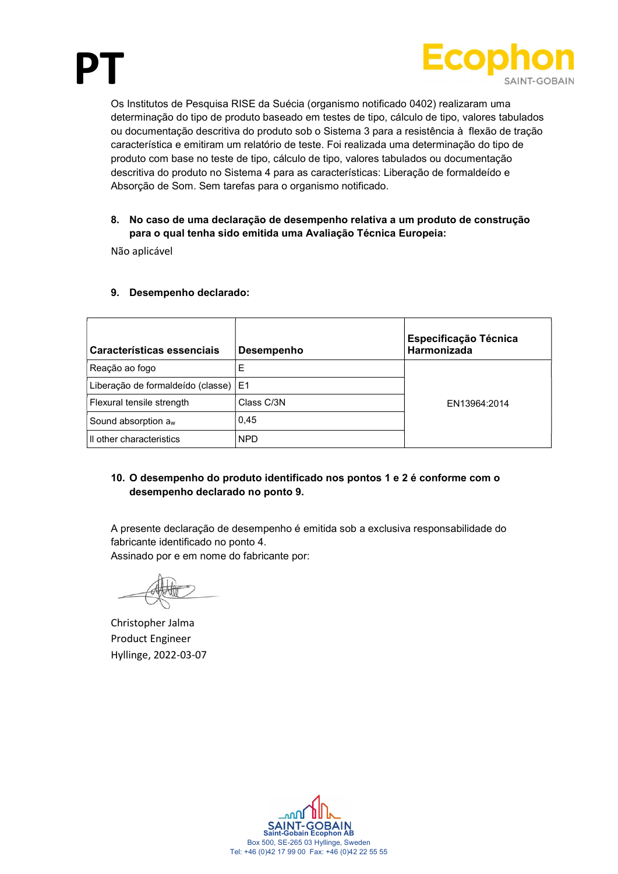



Os Institutos de Pesquisa RISE da Suécia (organismo notificado 0402) realizaram uma determinação do tipo de produto baseado em testes de tipo, cálculo de tipo, valores tabulados ou documentação descritiva do produto sob o Sistema 3 para a resistência à flexão de tração característica e emitiram um relatório de teste. Foi realizada uma determinação do tipo de produto com base no teste de tipo, cálculo de tipo, valores tabulados ou documentação descritiva do produto no Sistema 4 para as características: Liberação de formaldeído e Absorção de Som. Sem tarefas para o organismo notificado.

# 8. No caso de uma declaração de desempenho relativa a um produto de construção para o qual tenha sido emitida uma Avaliação Técnica Europeia:

Não aplicável

| Características essenciais        | <b>Desempenho</b> | Especificação Técnica<br>Harmonizada |
|-----------------------------------|-------------------|--------------------------------------|
| Reação ao fogo                    | E                 |                                      |
| Liberação de formaldeído (classe) | IE1               |                                      |
| Flexural tensile strength         | Class C/3N        | EN13964:2014                         |
| Sound absorption $a_w$            | 0.45              |                                      |
| Il other characteristics          | <b>NPD</b>        |                                      |

## 9. Desempenho declarado:

# 10. O desempenho do produto identificado nos pontos 1 e 2 é conforme com o desempenho declarado no ponto 9.

A presente declaração de desempenho é emitida sob a exclusiva responsabilidade do fabricante identificado no ponto 4.

Assinado por e em nome do fabricante por:

Christopher Jalma Product Engineer Hyllinge, 2022-03-07

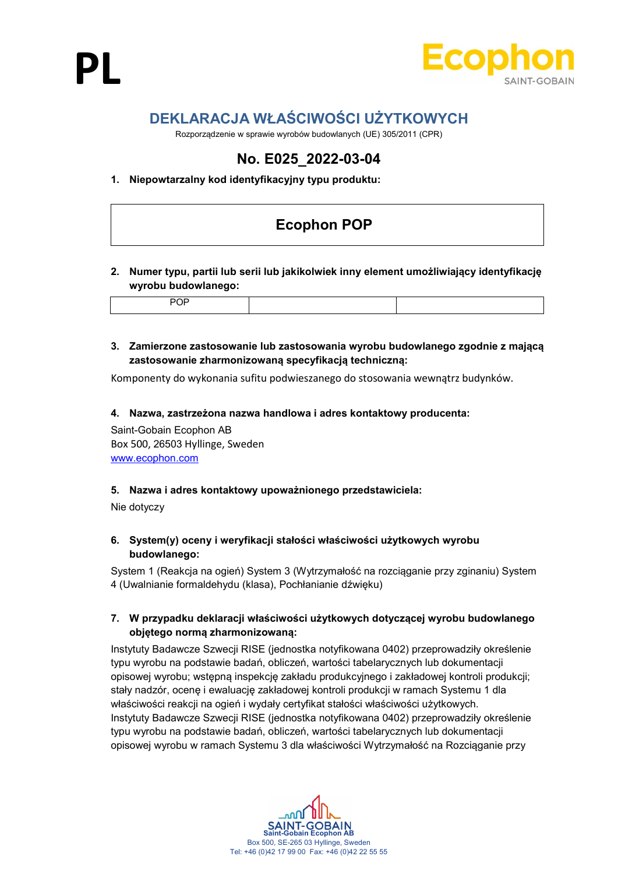



# DEKLARACJA WŁAŚCIWOŚCI UŻYTKOWYCH

Rozporządzenie w sprawie wyrobów budowlanych (UE) 305/2011 (CPR)

# No. E025\_2022-03-04

# 1. Niepowtarzalny kod identyfikacyjny typu produktu:

# Ecophon POP

## 2. Numer typu, partii lub serii lub jakikolwiek inny element umożliwiający identyfikację wyrobu budowlanego:

|--|--|--|--|

## 3. Zamierzone zastosowanie lub zastosowania wyrobu budowlanego zgodnie z mającą zastosowanie zharmonizowaną specyfikacją techniczną:

Komponenty do wykonania sufitu podwieszanego do stosowania wewnątrz budynków.

#### 4. Nazwa, zastrzeżona nazwa handlowa i adres kontaktowy producenta:

Saint-Gobain Ecophon AB Box 500, 26503 Hyllinge, Sweden www.ecophon.com

#### 5. Nazwa i adres kontaktowy upoważnionego przedstawiciela:

Nie dotyczy

## 6. System(y) oceny i weryfikacji stałości właściwości użytkowych wyrobu budowlanego:

System 1 (Reakcja na ogień) System 3 (Wytrzymałość na rozciąganie przy zginaniu) System 4 (Uwalnianie formaldehydu (klasa), Pochłanianie dźwięku)

## 7. W przypadku deklaracji właściwości użytkowych dotyczącej wyrobu budowlanego objętego normą zharmonizowaną:

Instytuty Badawcze Szwecji RISE (jednostka notyfikowana 0402) przeprowadziły określenie typu wyrobu na podstawie badań, obliczeń, wartości tabelarycznych lub dokumentacji opisowej wyrobu; wstępną inspekcję zakładu produkcyjnego i zakładowej kontroli produkcji; stały nadzór, ocenę i ewaluację zakładowej kontroli produkcji w ramach Systemu 1 dla właściwości reakcji na ogień i wydały certyfikat stałości właściwości użytkowych. Instytuty Badawcze Szwecji RISE (jednostka notyfikowana 0402) przeprowadziły określenie typu wyrobu na podstawie badań, obliczeń, wartości tabelarycznych lub dokumentacji opisowej wyrobu w ramach Systemu 3 dla właściwości Wytrzymałość na Rozciąganie przy

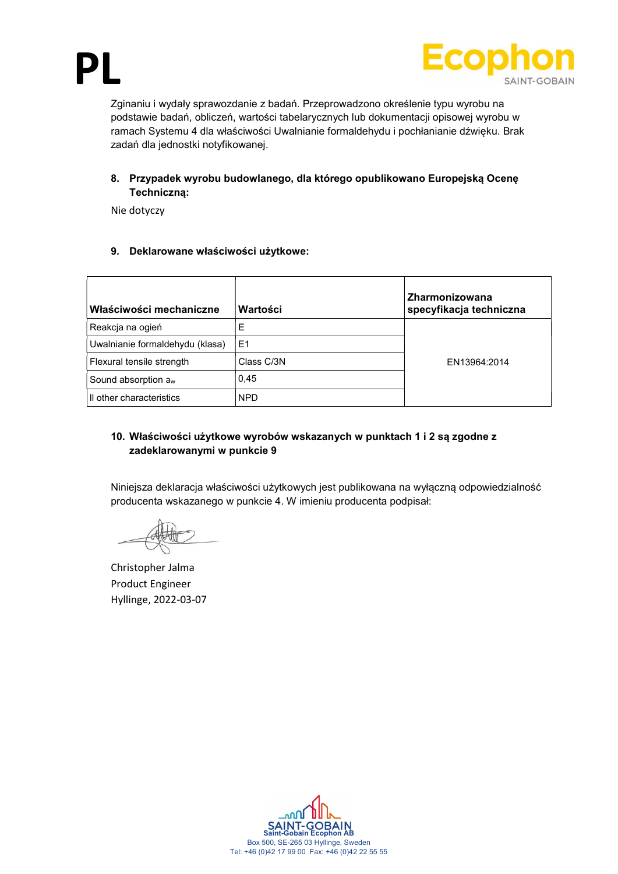

Zginaniu i wydały sprawozdanie z badań. Przeprowadzono określenie typu wyrobu na podstawie badań, obliczeń, wartości tabelarycznych lub dokumentacji opisowej wyrobu w ramach Systemu 4 dla właściwości Uwalnianie formaldehydu i pochłanianie dźwięku. Brak zadań dla jednostki notyfikowanej.

# 8. Przypadek wyrobu budowlanego, dla którego opublikowano Europejską Ocenę Techniczną:

Nie dotyczy

# 9. Deklarowane właściwości użytkowe:

| Właściwości mechaniczne         | Wartości       | Zharmonizowana<br>specyfikacja techniczna |
|---------------------------------|----------------|-------------------------------------------|
| Reakcja na ogień                | Е              |                                           |
| Uwalnianie formaldehydu (klasa) | E <sub>1</sub> |                                           |
| Flexural tensile strength       | Class C/3N     | EN13964:2014                              |
| Sound absorption a <sub>w</sub> | 0,45           |                                           |
| Il other characteristics        | <b>NPD</b>     |                                           |

# 10. Właściwości użytkowe wyrobów wskazanych w punktach 1 i 2 są zgodne z zadeklarowanymi w punkcie 9

Niniejsza deklaracja właściwości użytkowych jest publikowana na wyłączną odpowiedzialność producenta wskazanego w punkcie 4. W imieniu producenta podpisał:

Christopher Jalma Product Engineer Hyllinge, 2022-03-07

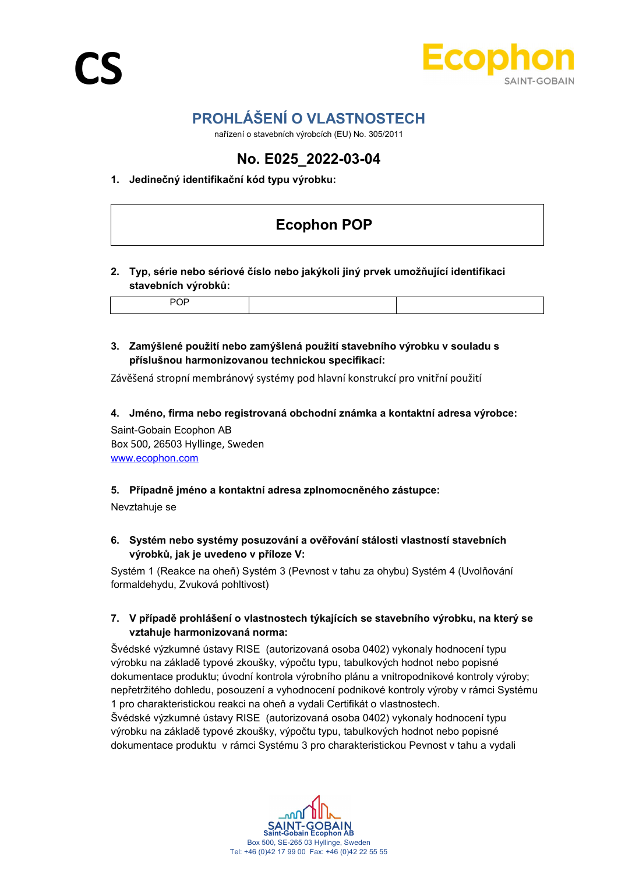

# PROHLÁŠENÍ O VLASTNOSTECH

nařízení o stavebních výrobcích (EU) No. 305/2011

# No. E025\_2022-03-04

# 1. Jedinečný identifikační kód typu výrobku:

# Ecophon POP

## 2. Typ, série nebo sériové číslo nebo jakýkoli jiný prvek umožňující identifikaci stavebních výrobků:

|--|--|--|--|--|

# 3. Zamýšlené použití nebo zamýšlená použití stavebního výrobku v souladu s příslušnou harmonizovanou technickou specifikací:

Závěšená stropní membránový systémy pod hlavní konstrukcí pro vnitřní použití

#### 4. Jméno, firma nebo registrovaná obchodní známka a kontaktní adresa výrobce:

Saint-Gobain Ecophon AB Box 500, 26503 Hyllinge, Sweden www.ecophon.com

#### 5. Případně jméno a kontaktní adresa zplnomocněného zástupce:

Nevztahuje se

# 6. Systém nebo systémy posuzování a ověřování stálosti vlastností stavebních výrobků, jak je uvedeno v příloze V:

Systém 1 (Reakce na oheň) Systém 3 (Pevnost v tahu za ohybu) Systém 4 (Uvolňování formaldehydu, Zvuková pohltivost)

## 7. V případě prohlášení o vlastnostech týkajících se stavebního výrobku, na který se vztahuje harmonizovaná norma:

Švédské výzkumné ústavy RISE (autorizovaná osoba 0402) vykonaly hodnocení typu výrobku na základě typové zkoušky, výpočtu typu, tabulkových hodnot nebo popisné dokumentace produktu; úvodní kontrola výrobního plánu a vnitropodnikové kontroly výroby; nepřetržitého dohledu, posouzení a vyhodnocení podnikové kontroly výroby v rámci Systému 1 pro charakteristickou reakci na oheň a vydali Certifikát o vlastnostech. Švédské výzkumné ústavy RISE (autorizovaná osoba 0402) vykonaly hodnocení typu výrobku na základě typové zkoušky, výpočtu typu, tabulkových hodnot nebo popisné



dokumentace produktu v rámci Systému 3 pro charakteristickou Pevnost v tahu a vydali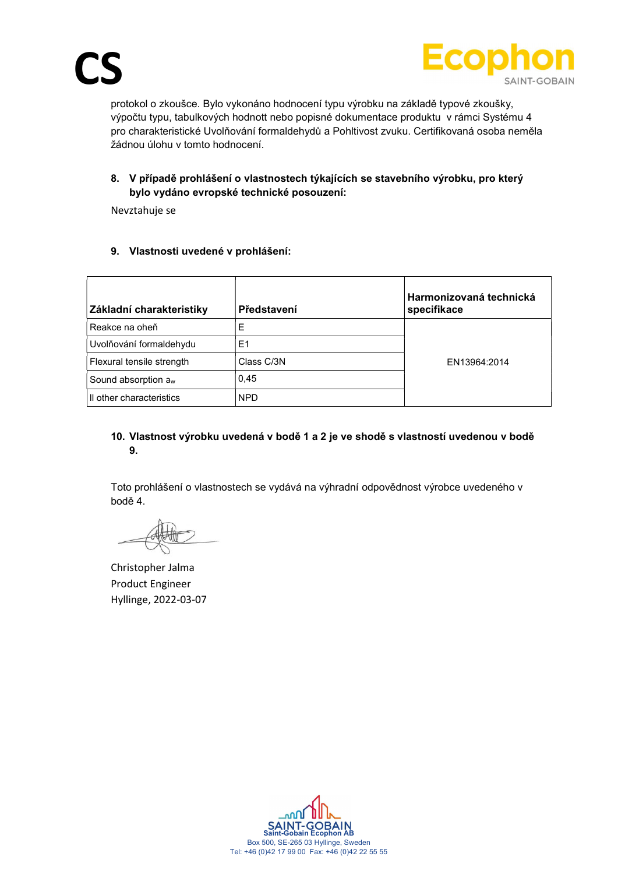

protokol o zkoušce. Bylo vykonáno hodnocení typu výrobku na základě typové zkoušky, výpočtu typu, tabulkových hodnott nebo popisné dokumentace produktu v rámci Systému 4 pro charakteristické Uvolňování formaldehydů a Pohltivost zvuku. Certifikovaná osoba neměla žádnou úlohu v tomto hodnocení.

# 8. V případě prohlášení o vlastnostech týkajících se stavebního výrobku, pro který bylo vydáno evropské technické posouzení:

Nevztahuje se

# 9. Vlastnosti uvedené v prohlášení:

| Základní charakteristiky        | Představení | Harmonizovaná technická<br>specifikace |
|---------------------------------|-------------|----------------------------------------|
| Reakce na oheň                  | E           |                                        |
| Uvolňování formaldehydu         | E1          |                                        |
| Flexural tensile strength       | Class C/3N  | EN13964:2014                           |
| Sound absorption a <sub>w</sub> | 0,45        |                                        |
| Il other characteristics        | <b>NPD</b>  |                                        |

## 10. Vlastnost výrobku uvedená v bodě 1 a 2 je ve shodě s vlastností uvedenou v bodě 9.

Toto prohlášení o vlastnostech se vydává na výhradní odpovědnost výrobce uvedeného v bodě 4.

Christopher Jalma Product Engineer Hyllinge, 2022-03-07

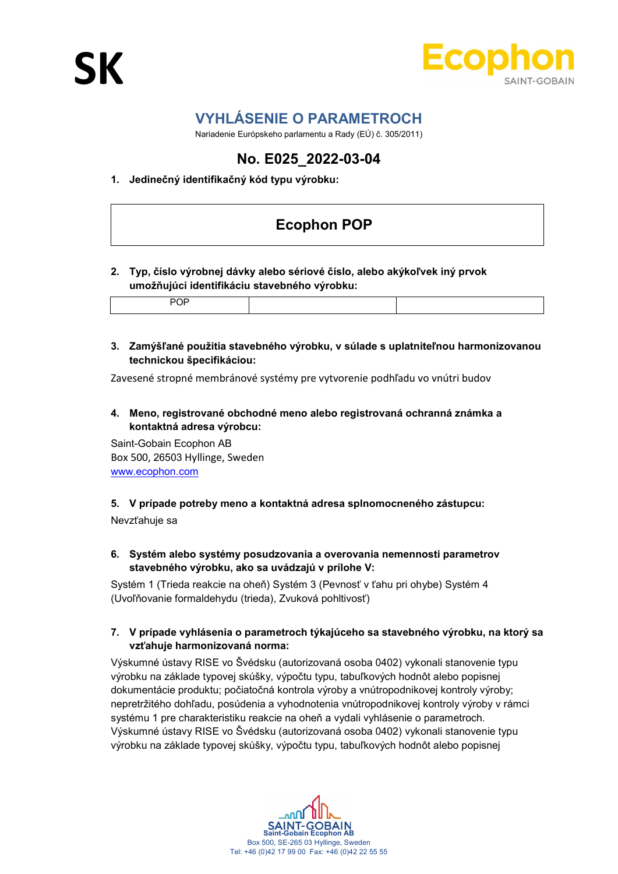

# VYHLÁSENIE O PARAMETROCH

Nariadenie Európskeho parlamentu a Rady (EÚ) č. 305/2011)

# No. E025\_2022-03-04

# 1. Jedinečný identifikačný kód typu výrobku:

# Ecophon POP

2. Typ, číslo výrobnej dávky alebo sériové číslo, alebo akýkoľvek iný prvok umožňujúci identifikáciu stavebného výrobku:

3. Zamýšľané použitia stavebného výrobku, v súlade s uplatniteľnou harmonizovanou technickou špecifikáciou:

Zavesené stropné membránové systémy pre vytvorenie podhľadu vo vnútri budov

4. Meno, registrované obchodné meno alebo registrovaná ochranná známka a kontaktná adresa výrobcu:

Saint-Gobain Ecophon AB Box 500, 26503 Hyllinge, Sweden www.ecophon.com

#### 5. V prípade potreby meno a kontaktná adresa splnomocneného zástupcu:

Nevzťahuje sa

6. Systém alebo systémy posudzovania a overovania nemennosti parametrov stavebného výrobku, ako sa uvádzajú v prílohe V:

Systém 1 (Trieda reakcie na oheň) Systém 3 (Pevnosť v ťahu pri ohybe) Systém 4 (Uvoľňovanie formaldehydu (trieda), Zvuková pohltivosť)

7. V prípade vyhlásenia o parametroch týkajúceho sa stavebného výrobku, na ktorý sa vzťahuje harmonizovaná norma:

Výskumné ústavy RISE vo Švédsku (autorizovaná osoba 0402) vykonali stanovenie typu výrobku na základe typovej skúšky, výpočtu typu, tabuľkových hodnôt alebo popisnej dokumentácie produktu; počiatočná kontrola výroby a vnútropodnikovej kontroly výroby; nepretržitého dohľadu, posúdenia a vyhodnotenia vnútropodnikovej kontroly výroby v rámci systému 1 pre charakteristiku reakcie na oheň a vydali vyhlásenie o parametroch. Výskumné ústavy RISE vo Švédsku (autorizovaná osoba 0402) vykonali stanovenie typu výrobku na základe typovej skúšky, výpočtu typu, tabuľkových hodnôt alebo popisnej

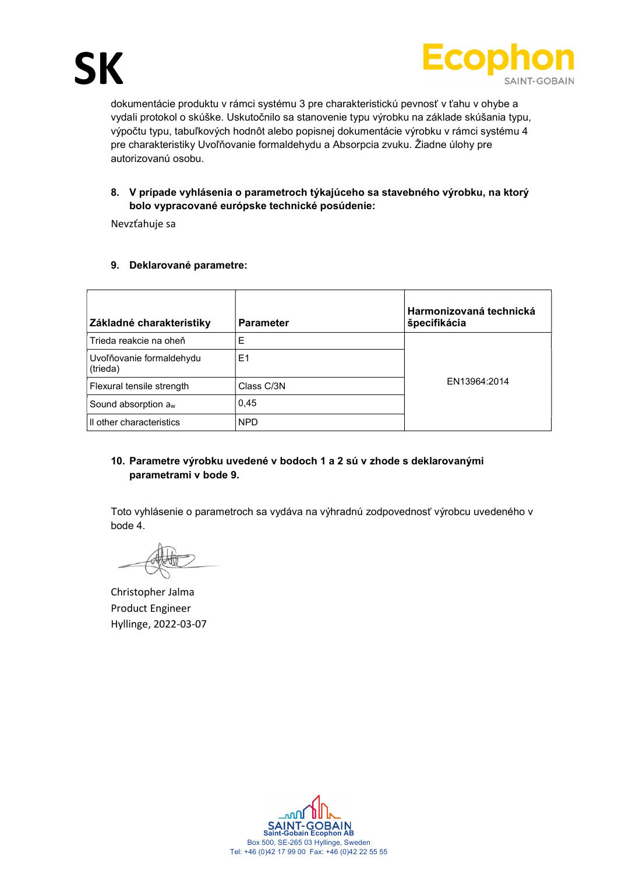

dokumentácie produktu v rámci systému 3 pre charakteristickú pevnosť v ťahu v ohybe a vydali protokol o skúške. Uskutočnilo sa stanovenie typu výrobku na základe skúšania typu, výpočtu typu, tabuľkových hodnôt alebo popisnej dokumentácie výrobku v rámci systému 4 pre charakteristiky Uvoľňovanie formaldehydu a Absorpcia zvuku. Žiadne úlohy pre autorizovanú osobu.

# 8. V prípade vyhlásenia o parametroch týkajúceho sa stavebného výrobku, na ktorý bolo vypracované európske technické posúdenie:

Nevzťahuje sa

# 9. Deklarované parametre:

| Základné charakteristiky             | <b>Parameter</b> | Harmonizovaná technická<br>špecifikácia |
|--------------------------------------|------------------|-----------------------------------------|
| Trieda reakcie na oheň               | Е                |                                         |
| Uvoľňovanie formaldehydu<br>(trieda) | E1               |                                         |
| Flexural tensile strength            | Class C/3N       | EN13964:2014                            |
| Sound absorption a <sub>w</sub>      | 0.45             |                                         |
| Il other characteristics             | <b>NPD</b>       |                                         |

# 10. Parametre výrobku uvedené v bodoch 1 a 2 sú v zhode s deklarovanými parametrami v bode 9.

Toto vyhlásenie o parametroch sa vydáva na výhradnú zodpovednosť výrobcu uvedeného v bode 4.

Christopher Jalma Product Engineer Hyllinge, 2022-03-07

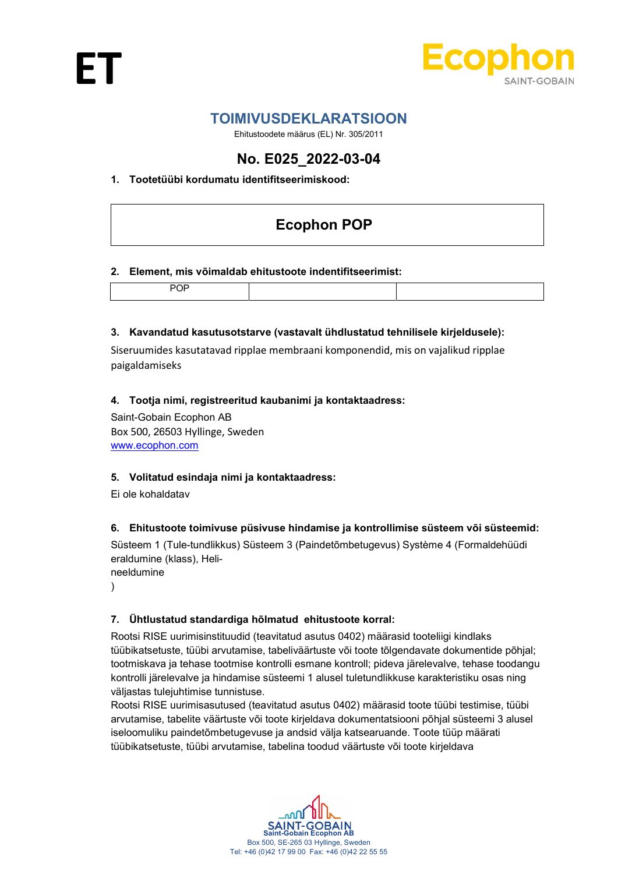



# TOIMIVUSDEKLARATSIOON

Ehitustoodete määrus (EL) Nr. 305/2011

# No. E025\_2022-03-04

# 1. Tootetüübi kordumatu identifitseerimiskood:

# Ecophon POP

## 2. Element, mis võimaldab ehitustoote indentifitseerimist:

## 3. Kavandatud kasutusotstarve (vastavalt ühdlustatud tehnilisele kirjeldusele):

Siseruumides kasutatavad ripplae membraani komponendid, mis on vajalikud ripplae paigaldamiseks

## 4. Tootja nimi, registreeritud kaubanimi ja kontaktaadress:

Saint-Gobain Ecophon AB Box 500, 26503 Hyllinge, Sweden www.ecophon.com

#### 5. Volitatud esindaja nimi ja kontaktaadress:

Ei ole kohaldatav

# 6. Ehitustoote toimivuse püsivuse hindamise ja kontrollimise süsteem või süsteemid:

Süsteem 1 (Tule-tundlikkus) Süsteem 3 (Paindetõmbetugevus) Système 4 (Formaldehüüdi eraldumine (klass), Helineeldumine

- 
- )

# 7. Ühtlustatud standardiga hõlmatud ehitustoote korral:

Rootsi RISE uurimisinstituudid (teavitatud asutus 0402) määrasid tooteliigi kindlaks tüübikatsetuste, tüübi arvutamise, tabeliväärtuste või toote tõlgendavate dokumentide põhjal; tootmiskava ja tehase tootmise kontrolli esmane kontroll; pideva järelevalve, tehase toodangu kontrolli järelevalve ja hindamise süsteemi 1 alusel tuletundlikkuse karakteristiku osas ning väljastas tulejuhtimise tunnistuse.

Rootsi RISE uurimisasutused (teavitatud asutus 0402) määrasid toote tüübi testimise, tüübi arvutamise, tabelite väärtuste või toote kirjeldava dokumentatsiooni põhjal süsteemi 3 alusel iseloomuliku paindetõmbetugevuse ja andsid välja katsearuande. Toote tüüp määrati tüübikatsetuste, tüübi arvutamise, tabelina toodud väärtuste või toote kirjeldava

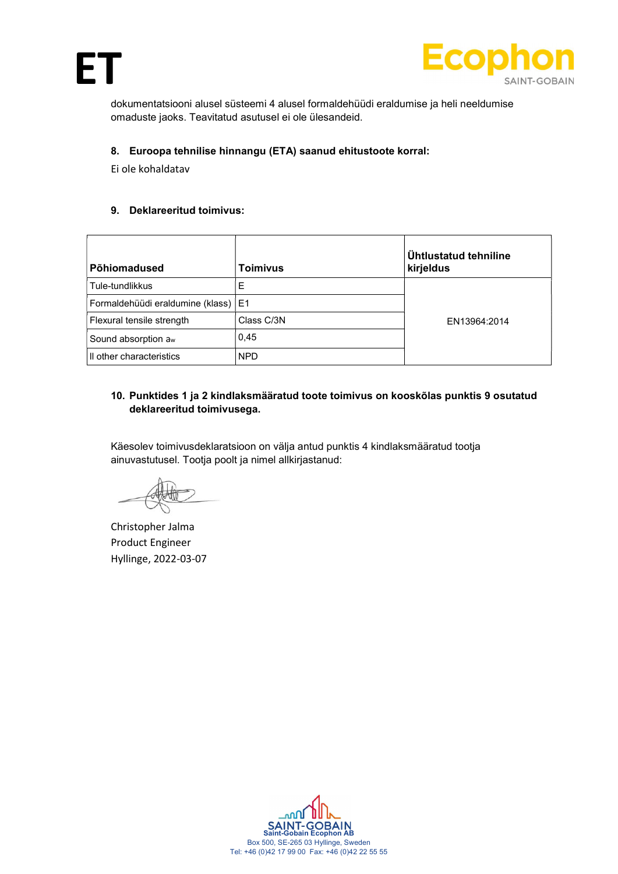



dokumentatsiooni alusel süsteemi 4 alusel formaldehüüdi eraldumise ja heli neeldumise omaduste jaoks. Teavitatud asutusel ei ole ülesandeid.

# 8. Euroopa tehnilise hinnangu (ETA) saanud ehitustoote korral:

Ei ole kohaldatav

#### 9. Deklareeritud toimivus:

| Põhiomadused                          | <b>Toimivus</b> | <b>Untlustatud tehniline</b><br>kirjeldus |
|---------------------------------------|-----------------|-------------------------------------------|
| Tule-tundlikkus                       | E               |                                           |
| Formaldehüüdi eraldumine (klass)   E1 |                 |                                           |
| Flexural tensile strength             | Class C/3N      | EN13964:2014                              |
| Sound absorption a <sub>w</sub>       | 0,45            |                                           |
| Il other characteristics              | <b>NPD</b>      |                                           |

# 10. Punktides 1 ja 2 kindlaksmääratud toote toimivus on kooskõlas punktis 9 osutatud deklareeritud toimivusega.

Käesolev toimivusdeklaratsioon on välja antud punktis 4 kindlaksmääratud tootja ainuvastutusel. Tootja poolt ja nimel allkirjastanud:

Christopher Jalma Product Engineer Hyllinge, 2022-03-07

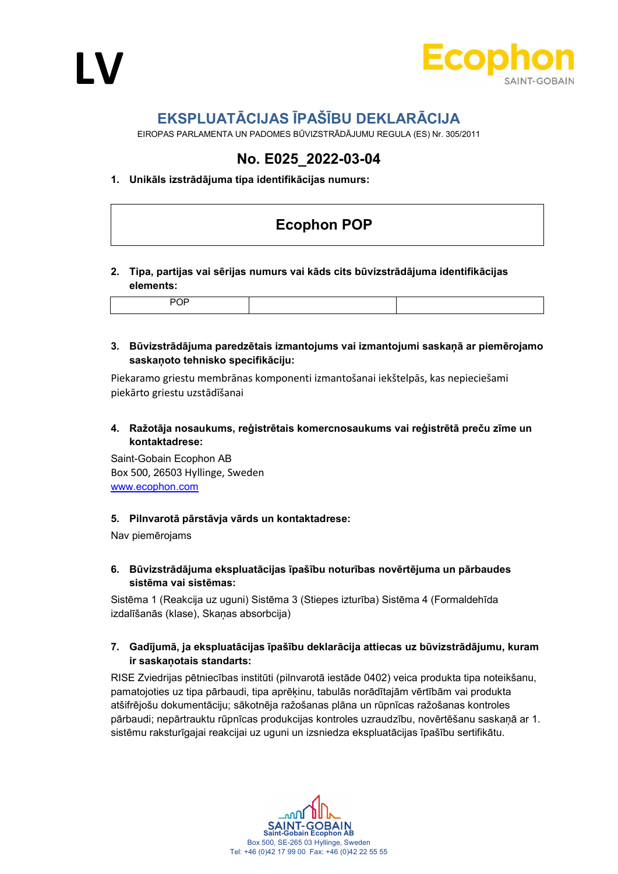



# EKSPLUATĀCIJAS ĪPAŠĪBU DEKLARĀCIJA

EIROPAS PARLAMENTA UN PADOMES BŪVIZSTRĀDĀJUMU REGULA (ES) Nr. 305/2011

# No. E025\_2022-03-04

## 1. Unikāls izstrādājuma tipa identifikācijas numurs:

# Ecophon POP

#### 2. Tipa, partijas vai sērijas numurs vai kāds cits būvizstrādājuma identifikācijas elements:

## 3. Būvizstrādājuma paredzētais izmantojums vai izmantojumi saskaņā ar piemērojamo saskaņoto tehnisko specifikāciju:

Piekaramo griestu membrānas komponenti izmantošanai iekštelpās, kas nepieciešami piekārto griestu uzstādīšanai

4. Ražotāja nosaukums, reģistrētais komercnosaukums vai reģistrētā preču zīme un kontaktadrese:

Saint-Gobain Ecophon AB Box 500, 26503 Hyllinge, Sweden www.ecophon.com

#### 5. Pilnvarotā pārstāvja vārds un kontaktadrese:

Nav piemērojams

## 6. Būvizstrādājuma ekspluatācijas īpašību noturības novērtējuma un pārbaudes sistēma vai sistēmas:

Sistēma 1 (Reakcija uz uguni) Sistēma 3 (Stiepes izturība) Sistēma 4 (Formaldehīda izdalīšanās (klase), Skaņas absorbcija)

## 7. Gadījumā, ja ekspluatācijas īpašību deklarācija attiecas uz būvizstrādājumu, kuram ir saskaņotais standarts:

RISE Zviedrijas pētniecības institūti (pilnvarotā iestāde 0402) veica produkta tipa noteikšanu, pamatojoties uz tipa pārbaudi, tipa aprēķinu, tabulās norādītajām vērtībām vai produkta atšifrējošu dokumentāciju; sākotnēja ražošanas plāna un rūpnīcas ražošanas kontroles pārbaudi; nepārtrauktu rūpnīcas produkcijas kontroles uzraudzību, novērtēšanu saskaņā ar 1. sistēmu raksturīgajai reakcijai uz uguni un izsniedza ekspluatācijas īpašību sertifikātu.

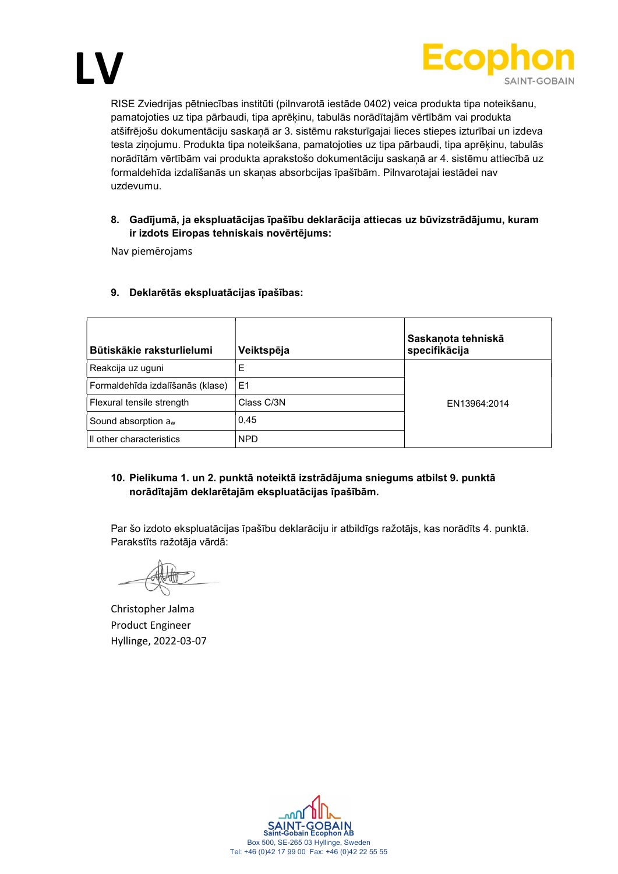



RISE Zviedrijas pētniecības institūti (pilnvarotā iestāde 0402) veica produkta tipa noteikšanu, pamatojoties uz tipa pārbaudi, tipa aprēķinu, tabulās norādītajām vērtībām vai produkta atšifrējošu dokumentāciju saskaņā ar 3. sistēmu raksturīgajai lieces stiepes izturībai un izdeva testa ziņojumu. Produkta tipa noteikšana, pamatojoties uz tipa pārbaudi, tipa aprēķinu, tabulās norādītām vērtībām vai produkta aprakstošo dokumentāciju saskaņā ar 4. sistēmu attiecībā uz formaldehīda izdalīšanās un skaņas absorbcijas īpašībām. Pilnvarotajai iestādei nav uzdevumu.

#### 8. Gadījumā, ja ekspluatācijas īpašību deklarācija attiecas uz būvizstrādājumu, kuram ir izdots Eiropas tehniskais novērtējums:

Nav piemērojams

| Būtiskākie raksturlielumi        | Veiktspēja     | Saskaņota tehniskā<br>specifikācija |
|----------------------------------|----------------|-------------------------------------|
| Reakcija uz uguni                | Ε              |                                     |
| Formaldehīda izdalīšanās (klase) | E <sub>1</sub> |                                     |
| Flexural tensile strength        | Class C/3N     | EN13964:2014                        |
| Sound absorption a <sub>w</sub>  | 0,45           |                                     |
| Il other characteristics         | <b>NPD</b>     |                                     |

## 9. Deklarētās ekspluatācijas īpašības:

## 10. Pielikuma 1. un 2. punktā noteiktā izstrādājuma sniegums atbilst 9. punktā norādītajām deklarētajām ekspluatācijas īpašībām.

Par šo izdoto ekspluatācijas īpašību deklarāciju ir atbildīgs ražotājs, kas norādīts 4. punktā. Parakstīts ražotāja vārdā:

Christopher Jalma Product Engineer Hyllinge, 2022-03-07

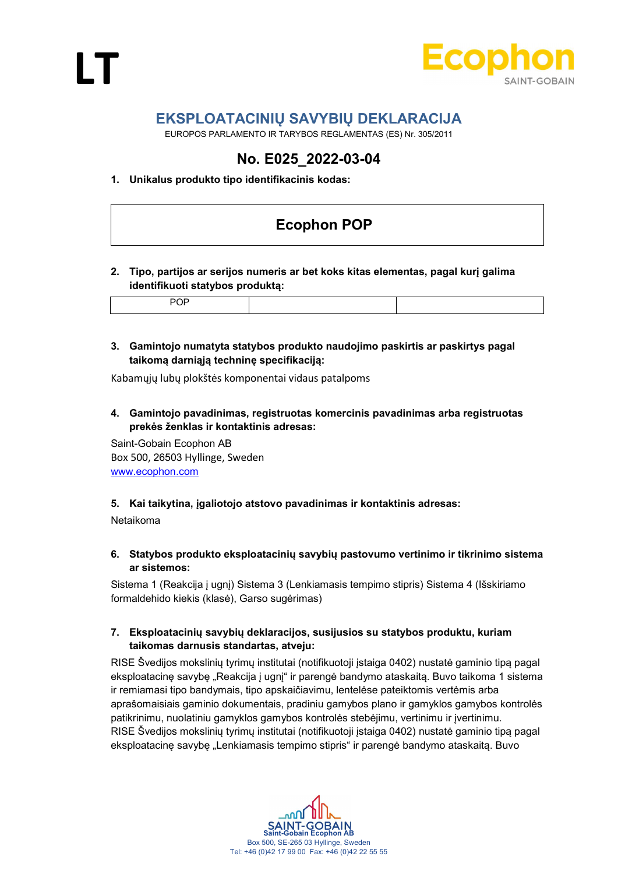



# EKSPLOATACINIŲ SAVYBIŲ DEKLARACIJA

EUROPOS PARLAMENTO IR TARYBOS REGLAMENTAS (ES) Nr. 305/2011

# No. E025\_2022-03-04

## 1. Unikalus produkto tipo identifikacinis kodas:

# Ecophon POP

## 2. Tipo, partijos ar serijos numeris ar bet koks kitas elementas, pagal kurį galima identifikuoti statybos produktą:

|--|

# 3. Gamintojo numatyta statybos produkto naudojimo paskirtis ar paskirtys pagal taikomą darniąją techninę specifikaciją:

Kabamųjų lubų plokštės komponentai vidaus patalpoms

4. Gamintojo pavadinimas, registruotas komercinis pavadinimas arba registruotas prekės ženklas ir kontaktinis adresas:

Saint-Gobain Ecophon AB Box 500, 26503 Hyllinge, Sweden www.ecophon.com

#### 5. Kai taikytina, įgaliotojo atstovo pavadinimas ir kontaktinis adresas:

Netaikoma

6. Statybos produkto eksploatacinių savybių pastovumo vertinimo ir tikrinimo sistema ar sistemos:

Sistema 1 (Reakcija į ugnį) Sistema 3 (Lenkiamasis tempimo stipris) Sistema 4 (Išskiriamo formaldehido kiekis (klasė), Garso sugėrimas)

## 7. Eksploatacinių savybių deklaracijos, susijusios su statybos produktu, kuriam taikomas darnusis standartas, atveju:

RISE Švedijos mokslinių tyrimų institutai (notifikuotoji įstaiga 0402) nustatė gaminio tipą pagal eksploatacinę savybę "Reakcija į ugnį" ir parengė bandymo ataskaitą. Buvo taikoma 1 sistema ir remiamasi tipo bandymais, tipo apskaičiavimu, lentelėse pateiktomis vertėmis arba aprašomaisiais gaminio dokumentais, pradiniu gamybos plano ir gamyklos gamybos kontrolės patikrinimu, nuolatiniu gamyklos gamybos kontrolės stebėjimu, vertinimu ir įvertinimu. RISE Švedijos mokslinių tyrimų institutai (notifikuotoji įstaiga 0402) nustatė gaminio tipą pagal eksploatacinę savybę "Lenkiamasis tempimo stipris" ir parengė bandymo ataskaitą. Buvo

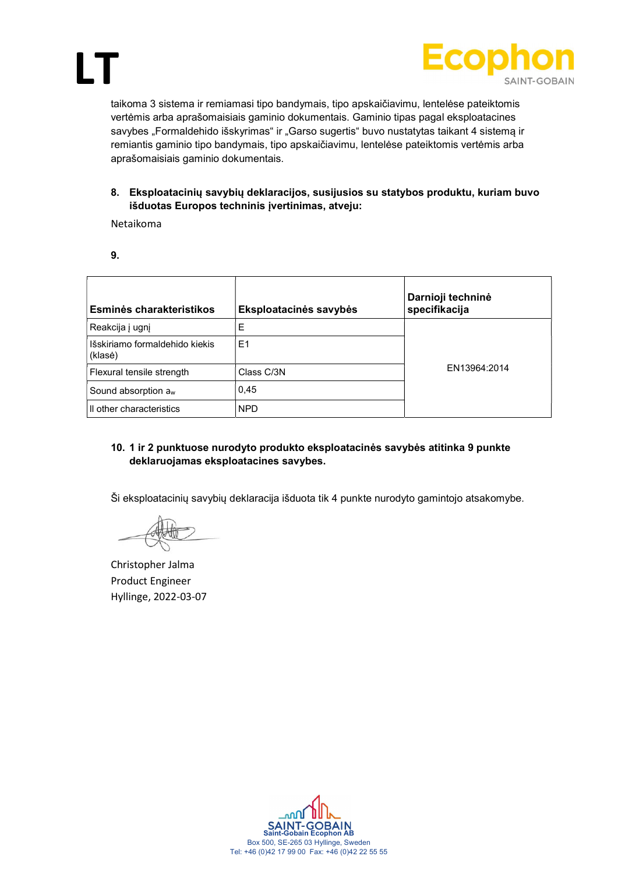



taikoma 3 sistema ir remiamasi tipo bandymais, tipo apskaičiavimu, lentelėse pateiktomis vertėmis arba aprašomaisiais gaminio dokumentais. Gaminio tipas pagal eksploatacines savybes "Formaldehido išskyrimas" ir "Garso sugertis" buvo nustatytas taikant 4 sistemą ir remiantis gaminio tipo bandymais, tipo apskaičiavimu, lentelėse pateiktomis vertėmis arba aprašomaisiais gaminio dokumentais.

8. Eksploatacinių savybių deklaracijos, susijusios su statybos produktu, kuriam buvo išduotas Europos techninis įvertinimas, atveju:

Netaikoma

| ×<br>٦           |  |
|------------------|--|
| I<br>I<br>×<br>٧ |  |

| Esminės charakteristikos                  | Eksploatacinės savybės | Darnioji techninė<br>specifikacija |
|-------------------------------------------|------------------------|------------------------------------|
| Reakcija į ugnį                           | Ε                      |                                    |
| Išskiriamo formaldehido kiekis<br>(klasė) | E1                     |                                    |
| Flexural tensile strength                 | Class C/3N             | EN13964:2014                       |
| Sound absorption a <sub>w</sub>           | 0,45                   |                                    |
| Il other characteristics                  | <b>NPD</b>             |                                    |

## 10. 1 ir 2 punktuose nurodyto produkto eksploatacinės savybės atitinka 9 punkte deklaruojamas eksploatacines savybes.

Ši eksploatacinių savybių deklaracija išduota tik 4 punkte nurodyto gamintojo atsakomybe.

Christopher Jalma Product Engineer Hyllinge, 2022-03-07

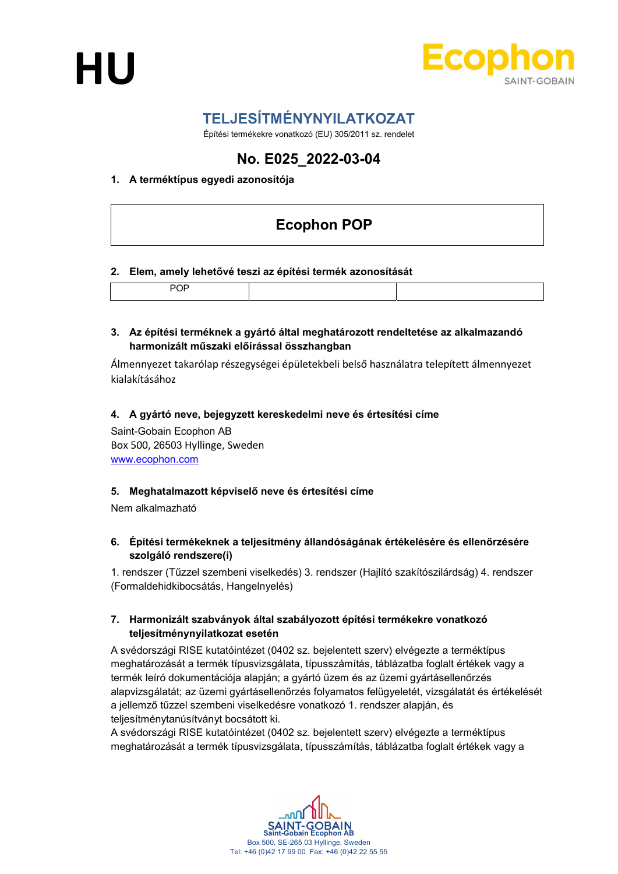



# TELJESÍTMÉNYNYILATKOZAT

Építési termékekre vonatkozó (EU) 305/2011 sz. rendelet

# No. E025\_2022-03-04

# 1. A terméktípus egyedi azonosítója

# Ecophon POP

## 2. Elem, amely lehetővé teszi az építési termék azonosítását

|--|

#### 3. Az építési terméknek a gyártó által meghatározott rendeltetése az alkalmazandó harmonizált műszaki előírással összhangban

Álmennyezet takarólap részegységei épületekbeli belső használatra telepített álmennyezet kialakításához

## 4. A gyártó neve, bejegyzett kereskedelmi neve és értesítési címe

Saint-Gobain Ecophon AB Box 500, 26503 Hyllinge, Sweden www.ecophon.com

#### 5. Meghatalmazott képviselő neve és értesítési címe

Nem alkalmazható

## 6. Építési termékeknek a teljesítmény állandóságának értékelésére és ellenőrzésére szolgáló rendszere(i)

1. rendszer (Tűzzel szembeni viselkedés) 3. rendszer (Hajlító szakítószilárdság) 4. rendszer (Formaldehidkibocsátás, Hangelnyelés)

## 7. Harmonizált szabványok által szabályozott építési termékekre vonatkozó teljesítménynyilatkozat esetén

A svédországi RISE kutatóintézet (0402 sz. bejelentett szerv) elvégezte a terméktípus meghatározását a termék típusvizsgálata, típusszámítás, táblázatba foglalt értékek vagy a termék leíró dokumentációja alapján; a gyártó üzem és az üzemi gyártásellenőrzés alapvizsgálatát; az üzemi gyártásellenőrzés folyamatos felügyeletét, vizsgálatát és értékelését a jellemző tűzzel szembeni viselkedésre vonatkozó 1. rendszer alapján, és teljesítménytanúsítványt bocsátott ki.

A svédországi RISE kutatóintézet (0402 sz. bejelentett szerv) elvégezte a terméktípus meghatározását a termék típusvizsgálata, típusszámítás, táblázatba foglalt értékek vagy a

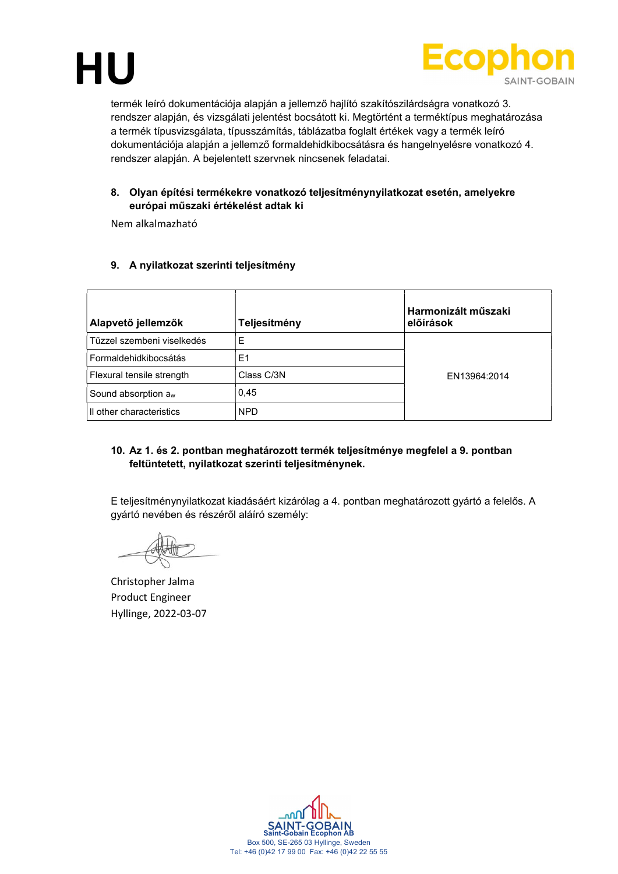



termék leíró dokumentációja alapján a jellemző hajlító szakítószilárdságra vonatkozó 3. rendszer alapján, és vizsgálati jelentést bocsátott ki. Megtörtént a terméktípus meghatározása a termék típusvizsgálata, típusszámítás, táblázatba foglalt értékek vagy a termék leíró dokumentációja alapján a jellemző formaldehidkibocsátásra és hangelnyelésre vonatkozó 4. rendszer alapján. A bejelentett szervnek nincsenek feladatai.

# 8. Olyan építési termékekre vonatkozó teljesítménynyilatkozat esetén, amelyekre európai műszaki értékelést adtak ki

Nem alkalmazható

## 9. A nyilatkozat szerinti teljesítmény

| Alapvető jellemzők              | Teljesítmény | Harmonizált műszaki<br>előírások |
|---------------------------------|--------------|----------------------------------|
| Tűzzel szembeni viselkedés      | E            |                                  |
| Formaldehidkibocsátás           | E1           |                                  |
| Flexural tensile strength       | Class C/3N   | EN13964:2014                     |
| Sound absorption a <sub>w</sub> | 0.45         |                                  |
| Il other characteristics        | <b>NPD</b>   |                                  |

## 10. Az 1. és 2. pontban meghatározott termék teljesítménye megfelel a 9. pontban feltüntetett, nyilatkozat szerinti teljesítménynek.

E teljesítménynyilatkozat kiadásáért kizárólag a 4. pontban meghatározott gyártó a felelős. A gyártó nevében és részéről aláíró személy:

Christopher Jalma Product Engineer Hyllinge, 2022-03-07

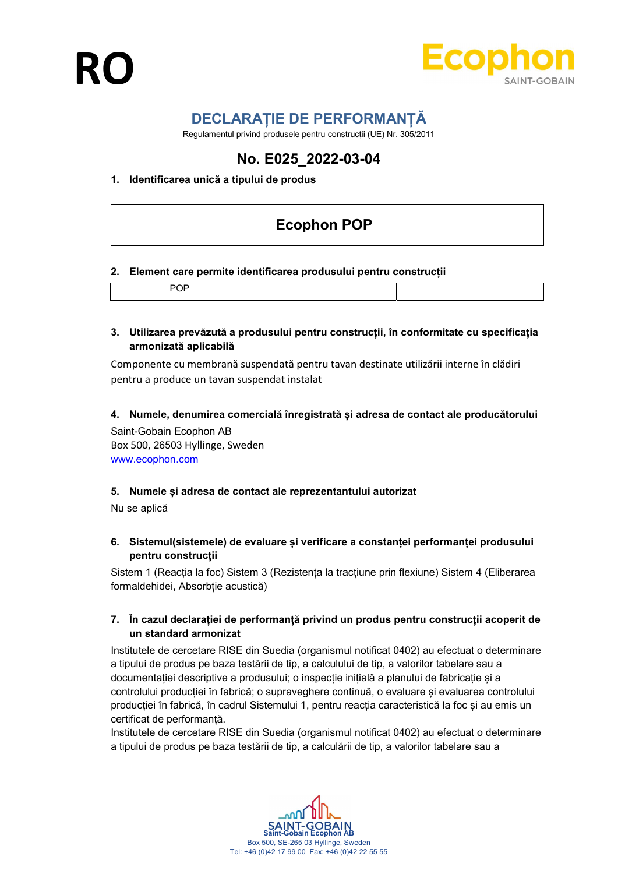

# DECLARAȚIE DE PERFORMANȚĂ

Regulamentul privind produsele pentru construcții (UE) Nr. 305/2011

# No. E025\_2022-03-04

# 1. Identificarea unică a tipului de produs

# Ecophon POP

#### 2. Element care permite identificarea produsului pentru construcții

#### 3. Utilizarea prevăzută a produsului pentru construcții, în conformitate cu specificația armonizată aplicabilă

Componente cu membrană suspendată pentru tavan destinate utilizării interne în clădiri pentru a produce un tavan suspendat instalat

## 4. Numele, denumirea comercială înregistrată și adresa de contact ale producătorului

Saint-Gobain Ecophon AB Box 500, 26503 Hyllinge, Sweden www.ecophon.com

#### 5. Numele și adresa de contact ale reprezentantului autorizat

Nu se aplică

## 6. Sistemul(sistemele) de evaluare și verificare a constanței performanței produsului pentru construcții

Sistem 1 (Reacția la foc) Sistem 3 (Rezistența la tracțiune prin flexiune) Sistem 4 (Eliberarea formaldehidei, Absorbție acustică)

## 7. În cazul declarației de performanță privind un produs pentru construcții acoperit de un standard armonizat

Institutele de cercetare RISE din Suedia (organismul notificat 0402) au efectuat o determinare a tipului de produs pe baza testării de tip, a calculului de tip, a valorilor tabelare sau a documentației descriptive a produsului; o inspecție inițială a planului de fabricație și a controlului producției în fabrică; o supraveghere continuă, o evaluare și evaluarea controlului producției în fabrică, în cadrul Sistemului 1, pentru reacția caracteristică la foc și au emis un certificat de performanță.

Institutele de cercetare RISE din Suedia (organismul notificat 0402) au efectuat o determinare a tipului de produs pe baza testării de tip, a calculării de tip, a valorilor tabelare sau a

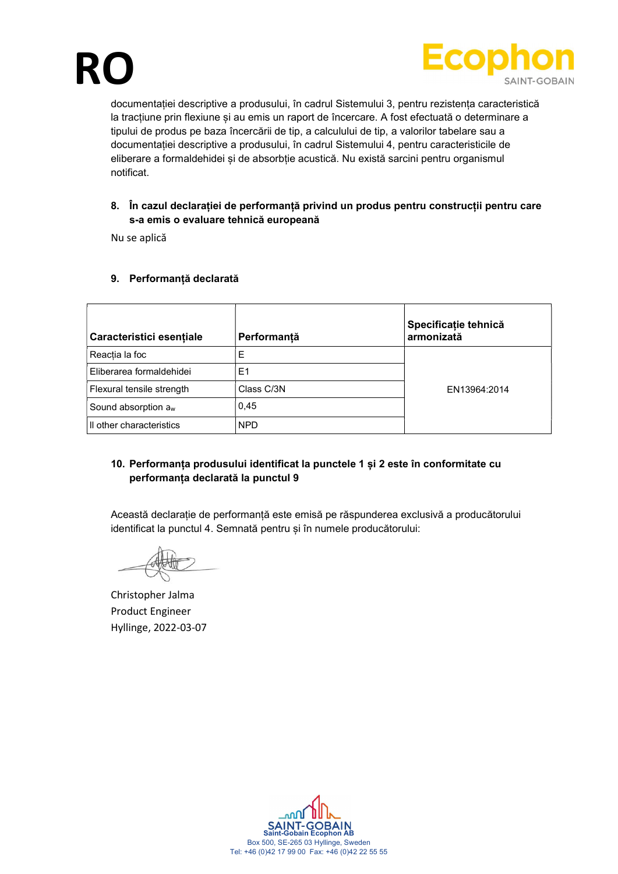



documentației descriptive a produsului, în cadrul Sistemului 3, pentru rezistența caracteristică la tracțiune prin flexiune și au emis un raport de încercare. A fost efectuată o determinare a tipului de produs pe baza încercării de tip, a calculului de tip, a valorilor tabelare sau a documentației descriptive a produsului, în cadrul Sistemului 4, pentru caracteristicile de eliberare a formaldehidei și de absorbție acustică. Nu există sarcini pentru organismul notificat.

# 8. În cazul declarației de performanță privind un produs pentru construcții pentru care s-a emis o evaluare tehnică europeană

Nu se aplică

## 9. Performanță declarată

| Caracteristici esențiale  | Performanță    | Specificație tehnică<br>armonizată |
|---------------------------|----------------|------------------------------------|
| Reactia la foc            | E              |                                    |
| Eliberarea formaldehidei  | E <sub>1</sub> |                                    |
| Flexural tensile strength | Class C/3N     | EN13964:2014                       |
| Sound absorption $a_w$    | 0,45           |                                    |
| Il other characteristics  | <b>NPD</b>     |                                    |

# 10. Performanța produsului identificat la punctele 1 și 2 este în conformitate cu performanța declarată la punctul 9

Această declarație de performanță este emisă pe răspunderea exclusivă a producătorului identificat la punctul 4. Semnată pentru și în numele producătorului:

Christopher Jalma Product Engineer Hyllinge, 2022-03-07

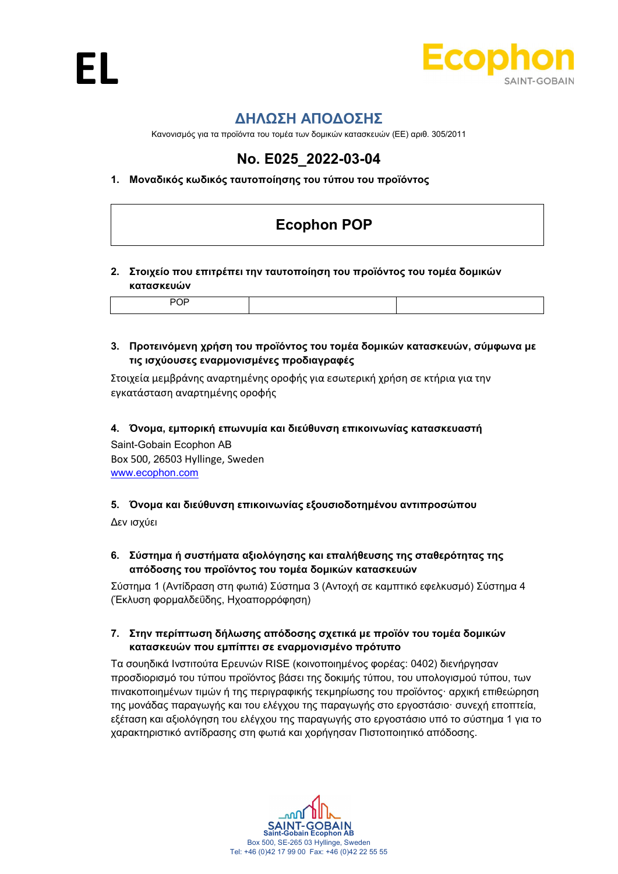

# ΔΗΛΩΣΗ ΑΠΟΔΟΣΗΣ

Κανονισμός για τα προϊόντα του τομέα των δομικών κατασκευών (ΕΕ) αριθ. 305/2011

# No. E025\_2022-03-04

# 1. Μοναδικός κωδικός ταυτοποίησης του τύπου του προϊόντος

# Ecophon POP

# 2. Στοιχείο που επιτρέπει την ταυτοποίηση του προϊόντος του τομέα δομικών κατασκευών

# 3. Προτεινόμενη χρήση του προϊόντος του τομέα δομικών κατασκευών, σύμφωνα με τις ισχύουσες εναρμονισμένες προδιαγραφές

Στοιχεία μεμβράνης αναρτημένης οροφής για εσωτερική χρήση σε κτήρια για την εγκατάσταση αναρτημένης οροφής

4. Όνομα, εμπορική επωνυμία και διεύθυνση επικοινωνίας κατασκευαστή

Saint-Gobain Ecophon AB Box 500, 26503 Hyllinge, Sweden www.ecophon.com

# 5. Όνομα και διεύθυνση επικοινωνίας εξουσιοδοτημένου αντιπροσώπου

Δεν ισχύει

# 6. Σύστημα ή συστήματα αξιολόγησης και επαλήθευσης της σταθερότητας της απόδοσης του προϊόντος του τομέα δομικών κατασκευών

Σύστημα 1 (Αντίδραση στη φωτιά) Σύστημα 3 (Αντοχή σε καμπτικό εφελκυσμό) Σύστημα 4 (Έκλυση φορμαλδεΰδης, Ηχοαπορρόφηση)

# 7. Στην περίπτωση δήλωσης απόδοσης σχετικά με προϊόν του τομέα δομικών κατασκευών που εμπίπτει σε εναρμονισμένο πρότυπο

Τα σουηδικά Ινστιτούτα Ερευνών RISE (κοινοποιημένος φορέας: 0402) διενήργησαν προσδιορισμό του τύπου προϊόντος βάσει της δοκιμής τύπου, του υπολογισμού τύπου, των πινακοποιημένων τιμών ή της περιγραφικής τεκμηρίωσης του προϊόντος· αρχική επιθεώρηση της μονάδας παραγωγής και του ελέγχου της παραγωγής στο εργοστάσιο· συνεχή εποπτεία, εξέταση και αξιολόγηση του ελέγχου της παραγωγής στο εργοστάσιο υπό το σύστημα 1 για το χαρακτηριστικό αντίδρασης στη φωτιά και χορήγησαν Πιστοποιητικό απόδοσης.

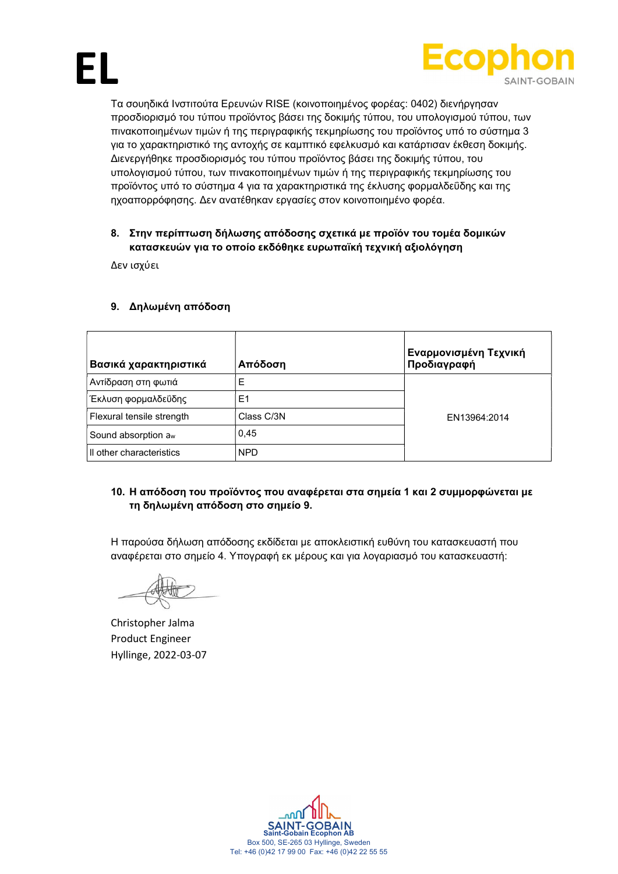



Τα σουηδικά Ινστιτούτα Ερευνών RISE (κοινοποιημένος φορέας: 0402) διενήργησαν προσδιορισμό του τύπου προϊόντος βάσει της δοκιμής τύπου, του υπολογισμού τύπου, των πινακοποιημένων τιμών ή της περιγραφικής τεκμηρίωσης του προϊόντος υπό το σύστημα 3 για το χαρακτηριστικό της αντοχής σε καμπτικό εφελκυσμό και κατάρτισαν έκθεση δοκιμής. Διενεργήθηκε προσδιορισμός του τύπου προϊόντος βάσει της δοκιμής τύπου, του υπολογισμού τύπου, των πινακοποιημένων τιμών ή της περιγραφικής τεκμηρίωσης του προϊόντος υπό το σύστημα 4 για τα χαρακτηριστικά της έκλυσης φορμαλδεΰδης και της ηχοαπορρόφησης. Δεν ανατέθηκαν εργασίες στον κοινοποιημένο φορέα.

# 8. Στην περίπτωση δήλωσης απόδοσης σχετικά με προϊόν του τομέα δομικών κατασκευών για το οποίο εκδόθηκε ευρωπαϊκή τεχνική αξιολόγηση

Δεν ισχύει

# 9. Δηλωμένη απόδοση

| Βασικά χαρακτηριστικά           | Απόδοση    | Εναρμονισμένη Τεχνική<br>Προδιαγραφή |
|---------------------------------|------------|--------------------------------------|
| Αντίδραση στη φωτιά             | Ε          |                                      |
| Έκλυση φορμαλδεΰδης             | E1         |                                      |
| Flexural tensile strength       | Class C/3N | EN13964:2014                         |
| Sound absorption a <sub>w</sub> | 0,45       |                                      |
| Il other characteristics        | <b>NPD</b> |                                      |

# 10. Η απόδοση του προϊόντος που αναφέρεται στα σημεία 1 και 2 συμμορφώνεται με τη δηλωμένη απόδοση στο σημείο 9.

Η παρούσα δήλωση απόδοσης εκδίδεται με αποκλειστική ευθύνη του κατασκευαστή που αναφέρεται στο σημείο 4. Υπογραφή εκ μέρους και για λογαριασμό του κατασκευαστή:

Christopher Jalma Product Engineer Hyllinge, 2022-03-07

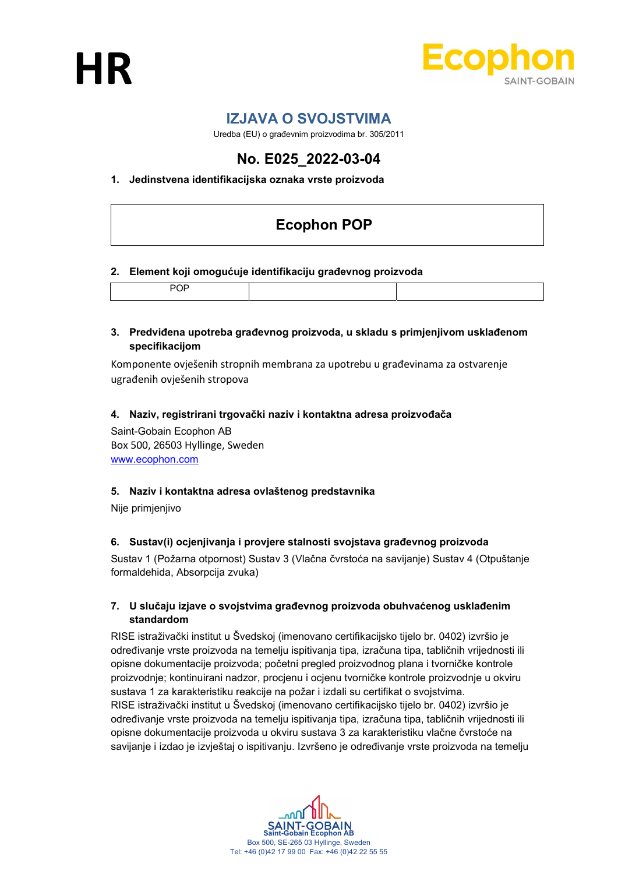



# IZJAVA O SVOJSTVIMA

Uredba (EU) o građevnim proizvodima br. 305/2011

# No. E025\_2022-03-04

# 1. Jedinstvena identifikacijska oznaka vrste proizvoda

# Ecophon POP

#### 2. Element koji omogućuje identifikaciju građevnog proizvoda

|--|--|

## 3. Predviđena upotreba građevnog proizvoda, u skladu s primjenjivom usklađenom specifikacijom

Komponente ovješenih stropnih membrana za upotrebu u građevinama za ostvarenje ugrađenih ovješenih stropova

#### 4. Naziv, registrirani trgovački naziv i kontaktna adresa proizvođača

Saint-Gobain Ecophon AB Box 500, 26503 Hyllinge, Sweden www.ecophon.com

#### 5. Naziv i kontaktna adresa ovlaštenog predstavnika

Nije primjenjivo

# 6. Sustav(i) ocjenjivanja i provjere stalnosti svojstava građevnog proizvoda

Sustav 1 (Požarna otpornost) Sustav 3 (Vlačna čvrstoća na savijanje) Sustav 4 (Otpuštanje formaldehida, Absorpcija zvuka)

## 7. U slučaju izjave o svojstvima građevnog proizvoda obuhvaćenog usklađenim standardom

RISE istraživački institut u Švedskoj (imenovano certifikacijsko tijelo br. 0402) izvršio je određivanje vrste proizvoda na temelju ispitivanja tipa, izračuna tipa, tabličnih vrijednosti ili opisne dokumentacije proizvoda; početni pregled proizvodnog plana i tvorničke kontrole proizvodnje; kontinuirani nadzor, procjenu i ocjenu tvorničke kontrole proizvodnje u okviru sustava 1 za karakteristiku reakcije na požar i izdali su certifikat o svojstvima. RISE istraživački institut u Švedskoj (imenovano certifikacijsko tijelo br. 0402) izvršio je određivanje vrste proizvoda na temelju ispitivanja tipa, izračuna tipa, tabličnih vrijednosti ili opisne dokumentacije proizvoda u okviru sustava 3 za karakteristiku vlačne čvrstoće na savijanje i izdao je izvještaj o ispitivanju. Izvršeno je određivanje vrste proizvoda na temelju

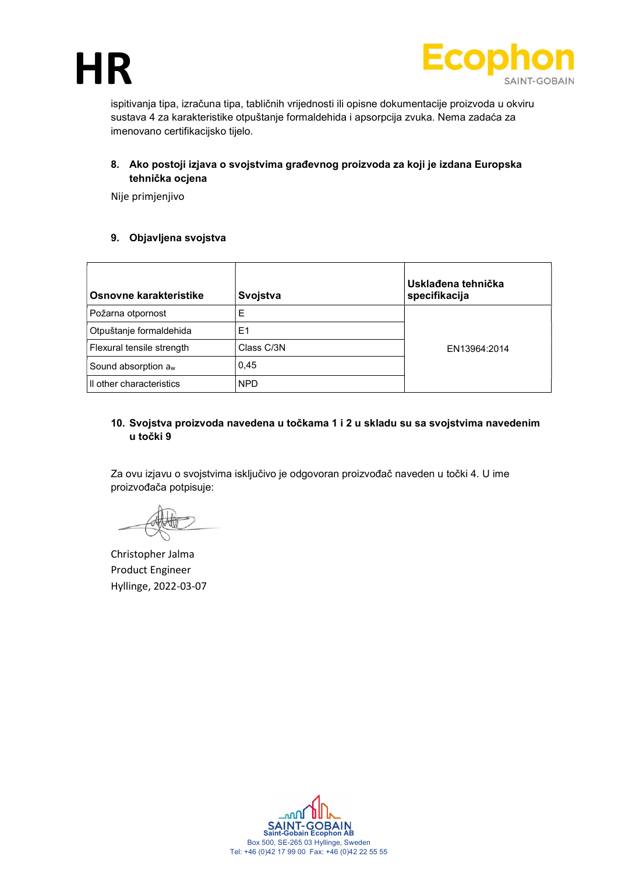



ispitivanja tipa, izračuna tipa, tabličnih vrijednosti ili opisne dokumentacije proizvoda u okviru sustava 4 za karakteristike otpuštanje formaldehida i apsorpcija zvuka. Nema zadaća za imenovano certifikacijsko tijelo.

8. Ako postoji izjava o svojstvima građevnog proizvoda za koji je izdana Europska tehnička ocjena

Nije primjenjivo

## 9. Objavljena svojstva

| Osnovne karakteristike          | Svojstva       | Usklađena tehnička<br>specifikacija |
|---------------------------------|----------------|-------------------------------------|
| Požarna otpornost               | Ε              |                                     |
| Otpuštanje formaldehida         | E <sub>1</sub> |                                     |
| Flexural tensile strength       | Class C/3N     | EN13964:2014                        |
| Sound absorption a <sub>w</sub> | 0,45           |                                     |
| Il other characteristics        | <b>NPD</b>     |                                     |

## 10. Svojstva proizvoda navedena u točkama 1 i 2 u skladu su sa svojstvima navedenim u točki 9

Za ovu izjavu o svojstvima isključivo je odgovoran proizvođač naveden u točki 4. U ime proizvođača potpisuje:

Christopher Jalma Product Engineer Hyllinge, 2022-03-07

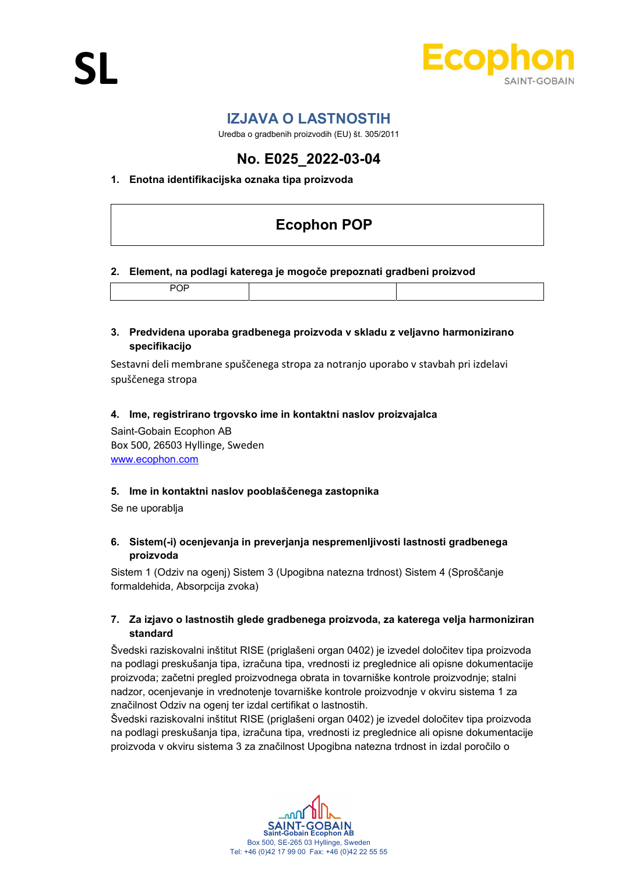

# IZJAVA O LASTNOSTIH

Uredba o gradbenih proizvodih (EU) št. 305/2011

# No. E025\_2022-03-04

# 1. Enotna identifikacijska oznaka tipa proizvoda

# Ecophon POP

#### 2. Element, na podlagi katerega je mogoče prepoznati gradbeni proizvod

|--|--|--|

#### 3. Predvidena uporaba gradbenega proizvoda v skladu z veljavno harmonizirano specifikacijo

Sestavni deli membrane spuščenega stropa za notranjo uporabo v stavbah pri izdelavi spuščenega stropa

#### 4. Ime, registrirano trgovsko ime in kontaktni naslov proizvajalca

Saint-Gobain Ecophon AB Box 500, 26503 Hyllinge, Sweden www.ecophon.com

#### 5. Ime in kontaktni naslov pooblaščenega zastopnika

Se ne uporablja

## 6. Sistem(-i) ocenjevanja in preverjanja nespremenljivosti lastnosti gradbenega proizvoda

Sistem 1 (Odziv na ogenj) Sistem 3 (Upogibna natezna trdnost) Sistem 4 (Sproščanje formaldehida, Absorpcija zvoka)

## 7. Za izjavo o lastnostih glede gradbenega proizvoda, za katerega velja harmoniziran standard

Švedski raziskovalni inštitut RISE (priglašeni organ 0402) je izvedel določitev tipa proizvoda na podlagi preskušanja tipa, izračuna tipa, vrednosti iz preglednice ali opisne dokumentacije proizvoda; začetni pregled proizvodnega obrata in tovarniške kontrole proizvodnje; stalni nadzor, ocenjevanje in vrednotenje tovarniške kontrole proizvodnje v okviru sistema 1 za značilnost Odziv na ogenj ter izdal certifikat o lastnostih.

Švedski raziskovalni inštitut RISE (priglašeni organ 0402) je izvedel določitev tipa proizvoda na podlagi preskušanja tipa, izračuna tipa, vrednosti iz preglednice ali opisne dokumentacije proizvoda v okviru sistema 3 za značilnost Upogibna natezna trdnost in izdal poročilo o

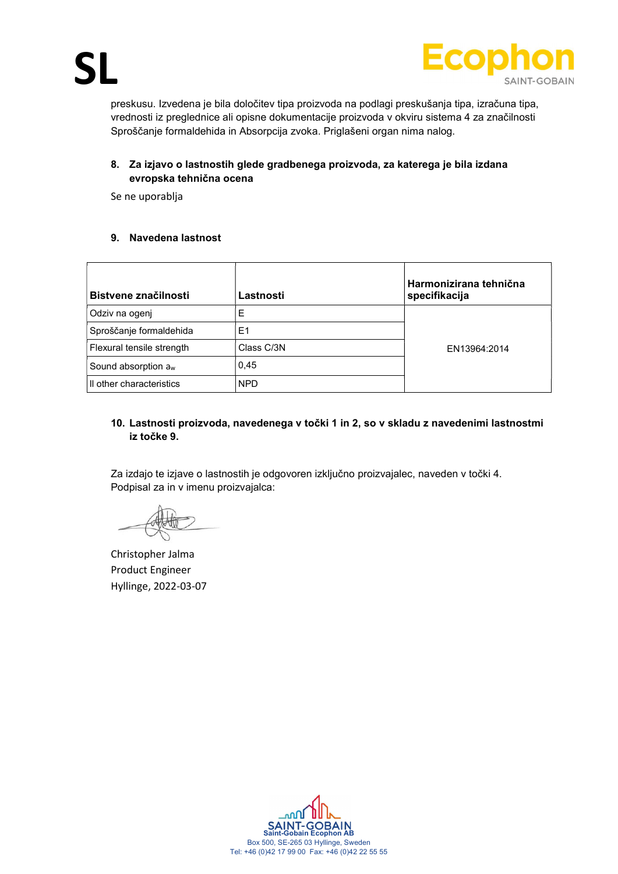

preskusu. Izvedena je bila določitev tipa proizvoda na podlagi preskušanja tipa, izračuna tipa, vrednosti iz preglednice ali opisne dokumentacije proizvoda v okviru sistema 4 za značilnosti Sproščanje formaldehida in Absorpcija zvoka. Priglašeni organ nima nalog.

# 8. Za izjavo o lastnostih glede gradbenega proizvoda, za katerega je bila izdana evropska tehnična ocena

Se ne uporablja

## 9. Navedena lastnost

| Bistvene značilnosti            | Lastnosti      | Harmonizirana tehnična<br>specifikacija |
|---------------------------------|----------------|-----------------------------------------|
| Odziv na ogenj                  | Е              |                                         |
| Sproščanje formaldehida         | E <sub>1</sub> |                                         |
| Flexural tensile strength       | Class C/3N     | EN13964:2014                            |
| Sound absorption a <sub>w</sub> | 0,45           |                                         |
| Il other characteristics        | <b>NPD</b>     |                                         |

## 10. Lastnosti proizvoda, navedenega v točki 1 in 2, so v skladu z navedenimi lastnostmi iz točke 9.

Za izdajo te izjave o lastnostih je odgovoren izključno proizvajalec, naveden v točki 4. Podpisal za in v imenu proizvajalca:

Christopher Jalma Product Engineer Hyllinge, 2022-03-07

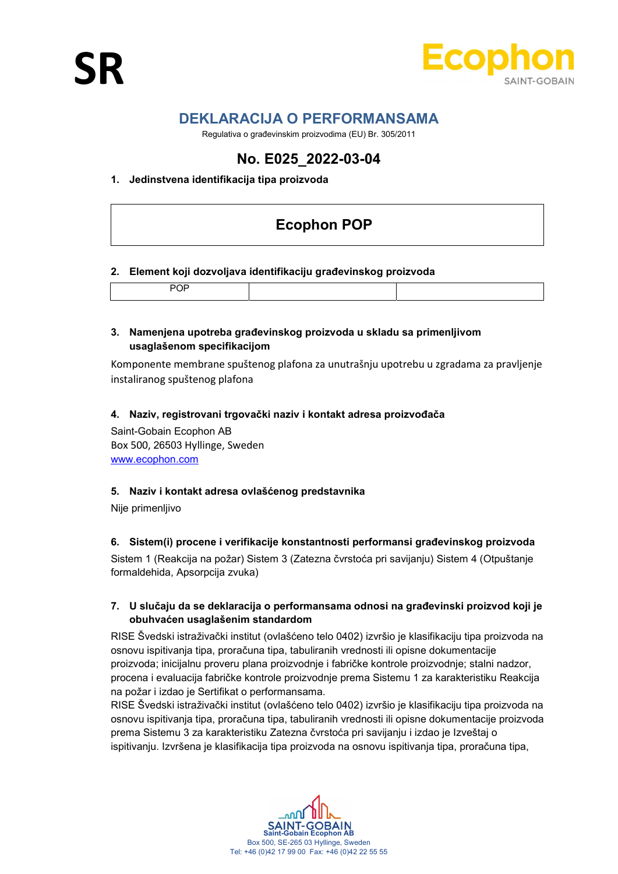

# DEKLARACIJA O PERFORMANSAMA

Regulativa o građevinskim proizvodima (EU) Br. 305/2011

# No. E025\_2022-03-04

## 1. Jedinstvena identifikacija tipa proizvoda

# Ecophon POP

#### 2. Element koji dozvoljava identifikaciju građevinskog proizvoda

|--|

#### 3. Namenjena upotreba građevinskog proizvoda u skladu sa primenljivom usaglašenom specifikacijom

Komponente membrane spuštenog plafona za unutrašnju upotrebu u zgradama za pravljenje instaliranog spuštenog plafona

#### 4. Naziv, registrovani trgovački naziv i kontakt adresa proizvođača

Saint-Gobain Ecophon AB Box 500, 26503 Hyllinge, Sweden www.ecophon.com

#### 5. Naziv i kontakt adresa ovlašćenog predstavnika

Nije primenljivo

# 6. Sistem(i) procene i verifikacije konstantnosti performansi građevinskog proizvoda

Sistem 1 (Reakcija na požar) Sistem 3 (Zatezna čvrstoća pri savijanju) Sistem 4 (Otpuštanje formaldehida, Apsorpcija zvuka)

## 7. U slučaju da se deklaracija o performansama odnosi na građevinski proizvod koji je obuhvaćen usaglašenim standardom

RISE Švedski istraživački institut (ovlašćeno telo 0402) izvršio je klasifikaciju tipa proizvoda na osnovu ispitivanja tipa, proračuna tipa, tabuliranih vrednosti ili opisne dokumentacije proizvoda; inicijalnu proveru plana proizvodnje i fabričke kontrole proizvodnje; stalni nadzor, procena i evaluacija fabričke kontrole proizvodnje prema Sistemu 1 za karakteristiku Reakcija na požar i izdao je Sertifikat o performansama.

RISE Švedski istraživački institut (ovlašćeno telo 0402) izvršio je klasifikaciju tipa proizvoda na osnovu ispitivanja tipa, proračuna tipa, tabuliranih vrednosti ili opisne dokumentacije proizvoda prema Sistemu 3 za karakteristiku Zatezna čvrstoća pri savijanju i izdao je Izveštaj o ispitivanju. Izvršena je klasifikacija tipa proizvoda na osnovu ispitivanja tipa, proračuna tipa,

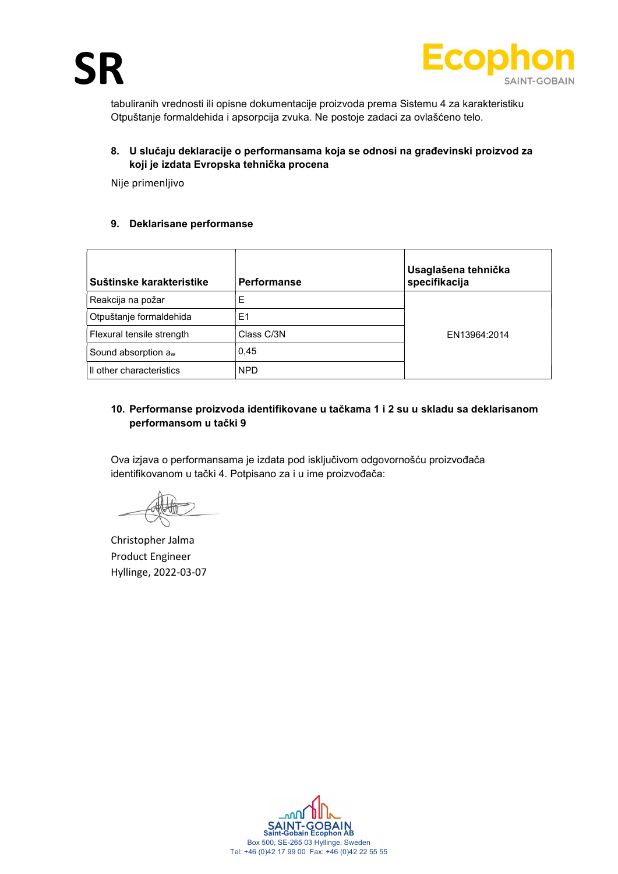

tabuliranih vrednosti ili opisne dokumentacije proizvoda prema Sistemu 4 za karakteristiku Otpuštanje formaldehida i apsorpcija zvuka. Ne postoje zadaci za ovlašćeno telo.

# 8. U slučaju deklaracije o performansama koja se odnosi na građevinski proizvod za koji je izdata Evropska tehnička procena

Nije primenljivo

#### 9. Deklarisane performanse

| Suštinske karakteristike  | <b>Performanse</b> | Usaglašena tehnička<br>specifikacija |
|---------------------------|--------------------|--------------------------------------|
| Reakcija na požar         | E                  |                                      |
| Otpuštanje formaldehida   | E <sub>1</sub>     |                                      |
| Flexural tensile strength | Class C/3N         | EN13964:2014                         |
| Sound absorption $a_w$    | 0,45               |                                      |
| Il other characteristics  | <b>NPD</b>         |                                      |

# 10. Performanse proizvoda identifikovane u tačkama 1 i 2 su u skladu sa deklarisanom performansom u tački 9

Ova izjava o performansama je izdata pod isključivom odgovornošću proizvođača identifikovanom u tački 4. Potpisano za i u ime proizvođača:

Christopher Jalma Product Engineer Hyllinge, 2022-03-07

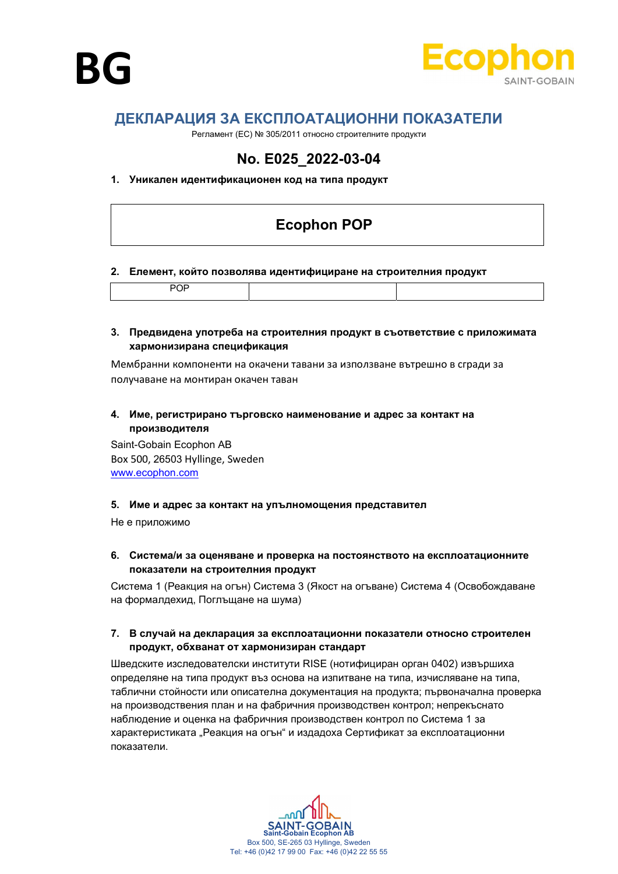



# ДЕКЛАРАЦИЯ ЗА ЕКСПЛОАТАЦИОННИ ПОКАЗАТЕЛИ

Регламент (ЕС) № 305/2011 относно строителните продукти

# No. E025\_2022-03-04

#### 1. Уникален идентификационен код на типа продукт

# Ecophon POP

#### 2. Елемент, който позволява идентифициране на строителния продукт

|--|--|--|

#### 3. Предвидена употреба на строителния продукт в съответствие с приложимата хармонизирана спецификация

Мембранни компоненти на окачени тавани за използване вътрешно в сгради за получаване на монтиран окачен таван

# 4. Име, регистрирано търговско наименование и адрес за контакт на производителя

Saint-Gobain Ecophon AB Box 500, 26503 Hyllinge, Sweden www.ecophon.com

#### 5. Име и адрес за контакт на упълномощения представител

Не е приложимо

6. Система/и за оценяване и проверка на постоянството на експлоатационните показатели на строителния продукт

Система 1 (Реакция на огън) Система 3 (Якост на огъване) Система 4 (Освобождаване на формалдехид, Поглъщане на шума)

#### 7. В случай на декларация за експлоатационни показатели относно строителен продукт, обхванат от хармонизиран стандарт

Шведските изследователски институти RISE (нотифициран орган 0402) извършиха определяне на типа продукт въз основа на изпитване на типа, изчисляване на типа, таблични стойности или описателна документация на продукта; първоначална проверка на производствения план и на фабричния производствен контрол; непрекъснато наблюдение и оценка на фабричния производствен контрол по Система 1 за характеристиката "Реакция на огън" и издадоха Сертификат за експлоатационни показатели.